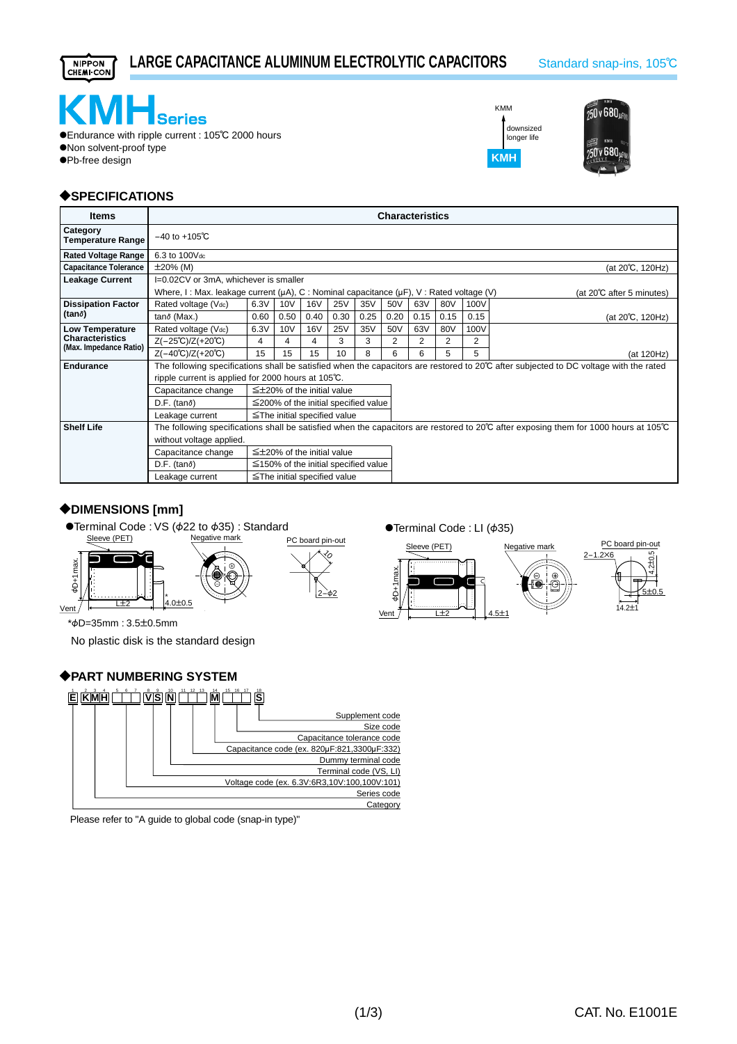

# LARGE CAPACITANCE ALUMINUM ELECTROLYTIC CAPACITORS Standard snap-ins, 105°C



●Endurance with ripple current : 105℃ 2000 hours @Non solvent-proof type @Pb-free design





#### ?**SPECIFICATIONS**

| <b>Items</b>                                     | <b>Characteristics</b>                                                                                                                                   |                                                                                                                                |      |            |                                            |      |      |      |      |      |                  |  |  |
|--------------------------------------------------|----------------------------------------------------------------------------------------------------------------------------------------------------------|--------------------------------------------------------------------------------------------------------------------------------|------|------------|--------------------------------------------|------|------|------|------|------|------------------|--|--|
| Category<br><b>Temperature Range</b>             | $-40$ to $+105^{\circ}$ C                                                                                                                                |                                                                                                                                |      |            |                                            |      |      |      |      |      |                  |  |  |
| <b>Rated Voltage Range</b>                       | 6.3 to 100Vdc                                                                                                                                            |                                                                                                                                |      |            |                                            |      |      |      |      |      |                  |  |  |
| <b>Capacitance Tolerance</b>                     | $\pm 20\%$ (M)                                                                                                                                           | (at 20°C, 120Hz)                                                                                                               |      |            |                                            |      |      |      |      |      |                  |  |  |
| <b>Leakage Current</b>                           |                                                                                                                                                          | I=0.02CV or 3mA, whichever is smaller                                                                                          |      |            |                                            |      |      |      |      |      |                  |  |  |
|                                                  |                                                                                                                                                          | Where, I: Max. leakage current ( $\mu$ A), C: Nominal capacitance ( $\mu$ F), V: Rated voltage (V)<br>(at 20℃ after 5 minutes) |      |            |                                            |      |      |      |      |      |                  |  |  |
| <b>Dissipation Factor</b>                        | Rated voltage (Vdc)                                                                                                                                      | 6.3V                                                                                                                           | 10V  | <b>16V</b> | <b>25V</b>                                 | 35V  | 50V  | 63V  | 80V  | 100V |                  |  |  |
| (tan $\delta$ )                                  | tanô (Max.)                                                                                                                                              | 0.60                                                                                                                           | 0.50 | 0.40       | 0.30                                       | 0.25 | 0.20 | 0.15 | 0.15 | 0.15 | (at 20°C, 120Hz) |  |  |
| <b>Low Temperature</b>                           | Rated voltage (Vdc)                                                                                                                                      | 6.3V                                                                                                                           | 10V  | <b>16V</b> | <b>25V</b>                                 | 35V  | 50V  | 63V  | 80V  | 100V |                  |  |  |
| <b>Characteristics</b><br>(Max. Impedance Ratio) | $Z(-25^{\circ}C)/Z(+20^{\circ}C)$                                                                                                                        | 4                                                                                                                              | 4    | 4          | 3                                          | 3    | 2    | 2    | 2    | 2    |                  |  |  |
|                                                  | $Z(-40^{\circ}C)/Z(+20^{\circ}C)$                                                                                                                        | 15                                                                                                                             | 15   | 15         | 10                                         | 8    | 6    | 6    | 5    | 5    | (at 120Hz)       |  |  |
| <b>Endurance</b>                                 | The following specifications shall be satisfied when the capacitors are restored to 20°C after subjected to DC voltage with the rated                    |                                                                                                                                |      |            |                                            |      |      |      |      |      |                  |  |  |
|                                                  | ripple current is applied for 2000 hours at 105℃.                                                                                                        |                                                                                                                                |      |            |                                            |      |      |      |      |      |                  |  |  |
|                                                  | Capacitance change<br>$\leq \pm 20\%$ of the initial value                                                                                               |                                                                                                                                |      |            |                                            |      |      |      |      |      |                  |  |  |
|                                                  | D.F. (tan $\delta$ )<br>$\leq$ 200% of the initial specified value                                                                                       |                                                                                                                                |      |            |                                            |      |      |      |      |      |                  |  |  |
|                                                  | $\le$ The initial specified value<br>Leakage current                                                                                                     |                                                                                                                                |      |            |                                            |      |      |      |      |      |                  |  |  |
| <b>Shelf Life</b>                                | The following specifications shall be satisfied when the capacitors are restored to 20 $\degree$ C after exposing them for 1000 hours at 105 $\degree$ C |                                                                                                                                |      |            |                                            |      |      |      |      |      |                  |  |  |
|                                                  | without voltage applied.                                                                                                                                 |                                                                                                                                |      |            |                                            |      |      |      |      |      |                  |  |  |
|                                                  | $\leq$ ±20% of the initial value<br>Capacitance change                                                                                                   |                                                                                                                                |      |            |                                            |      |      |      |      |      |                  |  |  |
|                                                  | D.F. (tan $\delta$ )                                                                                                                                     |                                                                                                                                |      |            | $\leq$ 150% of the initial specified value |      |      |      |      |      |                  |  |  |
|                                                  | Leakage current                                                                                                                                          |                                                                                                                                |      |            | $\leq$ The initial specified value         |      |      |      |      |      |                  |  |  |

#### ?**DIMENSIONS [mm]**







10

 $2-\phi$ 2



 $*$  $\Phi$ D=35mm : 3.5 $\pm$ 0.5mm

No plastic disk is the standard design

#### ?**PART NUMBERING SYSTEM**





Please refer to "A guide to global code (snap-in type)"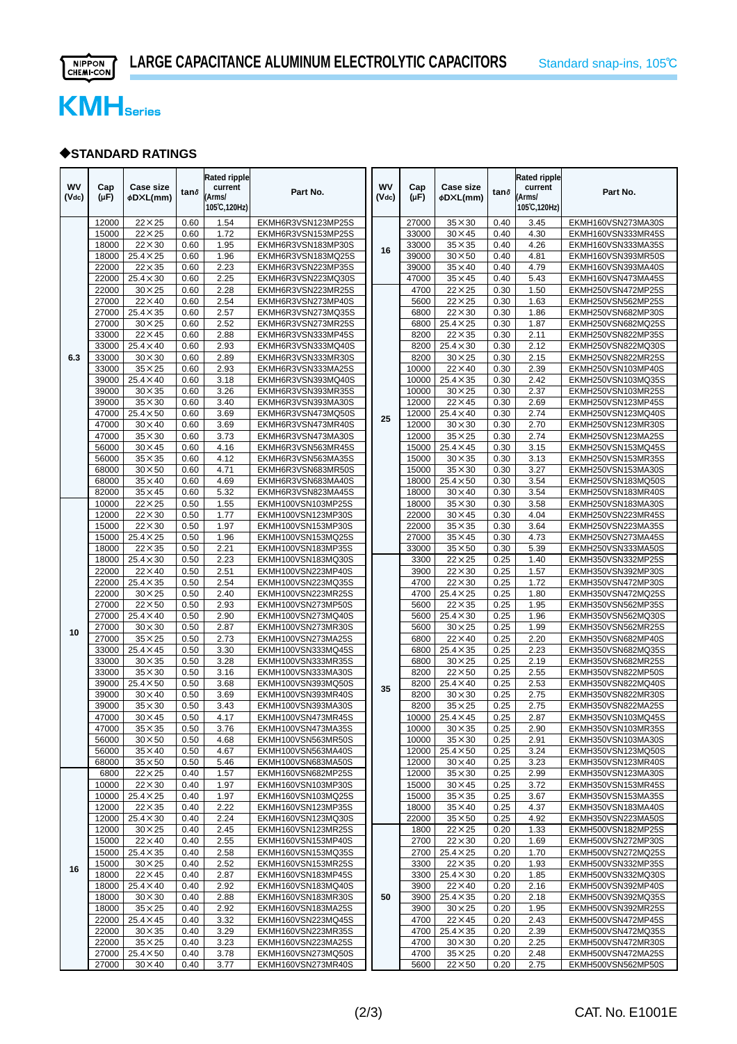



## ?**STANDARD RATINGS**

| 1.54<br>$22 \times 25$<br>0.60<br>EKMH6R3VSN123MP25S<br>27000<br>$35 \times 30$<br>3.45<br>EKMH160VSN273MA30S<br>12000<br>0.40<br>$22 \times 25$<br>1.72<br>15000<br>0.60<br>EKMH6R3VSN153MP25S<br>33000<br>$30 \times 45$<br>0.40<br>4.30<br>EKMH160VSN333MR45S<br>$22 \times 30$<br>1.95<br>4.26<br>18000<br>0.60<br>EKMH6R3VSN183MP30S<br>33000<br>$35 \times 35$<br>0.40<br>EKMH160VSN333MA35S<br>16<br>$25.4\times25$<br>0.60<br>1.96<br>$30 \times 50$<br>4.81<br>18000<br>EKMH6R3VSN183MQ25S<br>39000<br>0.40<br>EKMH160VSN393MR50S<br>22000<br>$22 \times 35$<br>2.23<br>4.79<br>0.60<br>EKMH6R3VSN223MP35S<br>39000<br>$35 \times 40$<br>0.40<br>EKMH160VSN393MA40S<br>22000<br>$25.4 \times 30$<br>0.60<br>2.25<br>47000<br>$35 \times 45$<br>0.40<br>5.43<br>EKMH6R3VSN223MQ30S<br>EKMH160VSN473MA45S<br>22000<br>2.28<br>$30 \times 25$<br>0.60<br>4700<br>$22 \times 25$<br>0.30<br>1.50<br>EKMH6R3VSN223MR25S<br>EKMH250VSN472MP25S<br>27000<br>$22 \times 40$<br>$22 \times 25$<br>0.60<br>2.54<br>EKMH6R3VSN273MP40S<br>0.30<br>1.63<br>EKMH250VSN562MP25S<br>5600<br>27000<br>$25.4 \times 35$<br>0.60<br>2.57<br>EKMH6R3VSN273MQ35S<br>6800<br>$22 \times 30$<br>0.30<br>1.86<br>EKMH250VSN682MP30S<br>$30 \times 25$<br>27000<br>0.60<br>2.52<br>EKMH6R3VSN273MR25S<br>6800<br>$25.4\times25$<br>0.30<br>1.87<br>EKMH250VSN682MQ25S<br>33000<br>$22 \times 45$<br>0.60<br>2.88<br>EKMH6R3VSN333MP45S<br>8200<br>$22 \times 35$<br>0.30<br>2.11<br>EKMH250VSN822MP35S<br>$25.4\times40$<br>2.93<br>33000<br>0.60<br>8200<br>$25.4 \times 30$<br>0.30<br>2.12<br>EKMH250VSN822MQ30S<br>EKMH6R3VSN333MQ40S<br>33000<br>$30 \times 30$<br>2.89<br>$30 \times 25$<br>2.15<br>6.3<br>0.60<br>EKMH6R3VSN333MR30S<br>8200<br>0.30<br>EKMH250VSN822MR25S<br>33000<br>$35 \times 25$<br>$22 \times 40$<br>0.60<br>2.93<br>EKMH6R3VSN333MA25S<br>10000<br>0.30<br>2.39<br>EKMH250VSN103MP40S<br>39000<br>2.42<br>$25.4\times40$<br>0.60<br>3.18<br>EKMH6R3VSN393MQ40S<br>10000<br>$25.4\times35$<br>0.30<br>EKMH250VSN103MQ35S<br>2.37<br>39000<br>$30 \times 35$<br>0.60<br>3.26<br>EKMH6R3VSN393MR35S<br>10000<br>$30 \times 25$<br>0.30<br>EKMH250VSN103MR25S<br>39000<br>$35 \times 30$<br>0.60<br>3.40<br>EKMH6R3VSN393MA30S<br>12000<br>$22 \times 45$<br>0.30<br>2.69<br>EKMH250VSN123MP45S<br>3.69<br>$25.4\times40$<br>2.74<br>47000<br>$25.4\times50$<br>0.60<br>12000<br>0.30<br>EKMH6R3VSN473MQ50S<br>EKMH250VSN123MQ40S<br>25<br>2.70<br>47000<br>$30 \times 40$<br>0.60<br>3.69<br>12000<br>$30 \times 30$<br>0.30<br>EKMH6R3VSN473MR40S<br>EKMH250VSN123MR30S<br>2.74<br>47000<br>$35 \times 30$<br>0.60<br>3.73<br>12000<br>$35 \times 25$<br>0.30<br>EKMH6R3VSN473MA30S<br>EKMH250VSN123MA25S<br>3.15<br>56000<br>$30 \times 45$<br>0.60<br>4.16<br>15000<br>$25.4 \times 45$<br>0.30<br>EKMH6R3VSN563MR45S<br>EKMH250VSN153MQ45S<br>56000<br>$35 \times 35$<br>0.60<br>4.12<br>15000<br>$30 \times 35$<br>0.30<br>3.13<br>EKMH6R3VSN563MA35S<br>EKMH250VSN153MR35S<br>4.71<br>3.27<br>68000<br>$30 \times 50$<br>0.60<br>15000<br>$35 \times 30$<br>0.30<br>EKMH6R3VSN683MR50S<br>EKMH250VSN153MA30S<br>4.69<br>3.54<br>68000<br>$35 \times 40$<br>0.60<br>EKMH6R3VSN683MA40S<br>18000<br>$25.4\times50$<br>0.30<br>EKMH250VSN183MQ50S<br>5.32<br>3.54<br>82000<br>$35 \times 45$<br>0.60<br>18000<br>$30 \times 40$<br>0.30<br>EKMH6R3VSN823MA45S<br>EKMH250VSN183MR40S<br>1.55<br>3.58<br>10000<br>$22 \times 25$<br>0.50<br>EKMH100VSN103MP25S<br>18000<br>$35 \times 30$<br>0.30<br>EKMH250VSN183MA30S<br>$\frac{1.77}{1.77}$<br>4.04<br>12000<br>$22 \times 30$<br>0.50<br>22000<br>$30 \times 45$<br>0.30<br>EKMH100VSN123MP30S<br>EKMH250VSN223MR45S<br>15000<br>$22 \times 30$<br>0.50<br>1.97<br>EKMH100VSN153MP30S<br>22000<br>$35 \times 35$<br>0.30<br>3.64<br>EKMH250VSN223MA35S<br>15000<br>$25.4\times25$<br>0.50<br>1.96<br>EKMH100VSN153MQ25S<br>27000<br>$35 \times 45$<br>0.30<br>4.73<br>EKMH250VSN273MA45S<br>18000<br>$22 \times 35$<br>0.50<br>2.21<br>EKMH100VSN183MP35S<br>33000<br>$35 \times 50$<br>0.30<br>5.39<br>EKMH250VSN333MA50S<br>2.23<br>18000<br>$25.4 \times 30$<br>0.50<br>EKMH100VSN183MQ30S<br>3300<br>$22\times25$<br>0.25<br>1.40<br>EKMH350VSN332MP25S<br>0.25<br>1.57<br>22000<br>$22 \times 40$<br>0.50<br>2.51<br>EKMH100VSN223MP40S<br>3900<br>$22 \times 30$<br>EKMH350VSN392MP30S<br>22000<br>2.54<br>$22 \times 30$<br>0.25<br>1.72<br>$25.4 \times 35$<br>0.50<br>EKMH100VSN223MQ35S<br>4700<br>EKMH350VSN472MP30S<br>$25.4 \times 25$<br>1.80<br>22000<br>$30 \times 25$<br>0.50<br>2.40<br>EKMH100VSN223MR25S<br>4700<br>0.25<br>EKMH350VSN472MQ25S<br>27000<br>$22 \times 50$<br>2.93<br>5600<br>$22 \times 35$<br>0.25<br>1.95<br>0.50<br>EKMH100VSN273MP50S<br>EKMH350VSN562MP35S<br>1.96<br>27000<br>$25.4 \times 40$<br>0.50<br>2.90<br>EKMH100VSN273MQ40S<br>5600<br>$25.4 \times 30$<br>0.25<br>EKMH350VSN562MQ30S<br>27000<br>2.87<br>1.99<br>$30 \times 30$<br>0.50<br>EKMH100VSN273MR30S<br>5600<br>$30 \times 25$<br>0.25<br>EKMH350VSN562MR25S<br>10<br>27000<br>2.73<br>2.20<br>$35 \times 25$<br>0.50<br>EKMH100VSN273MA25S<br>6800<br>$22 \times 40$<br>0.25<br>EKMH350VSN682MP40S<br>2.23<br>33000<br>$25.4 \times 45$<br>0.50<br>3.30<br>6800<br>$25.4 \times 35$<br>0.25<br>EKMH100VSN333MQ45S<br>EKMH350VSN682MQ35S<br>2.19<br>33000<br>$30 \times 35$<br>0.50<br>3.28<br>6800<br>$30 \times 25$<br>0.25<br>EKMH100VSN333MR35S<br>EKMH350VSN682MR25S<br>33000<br>$35 \times 30$<br>0.50<br>3.16<br>8200<br>$22\times50$<br>0.25<br>2.55<br>EKMH100VSN333MA30S<br>EKMH350VSN822MP50S<br>39000<br>$25.4\times50$<br>0.50<br>3.68<br>EKMH100VSN393MQ50S<br>8200<br>$25.4\times40$<br>0.25<br>2.53<br>EKMH350VSN822MQ40S<br>35<br>3.69<br>0.25<br>2.75<br>39000<br>$30 \times 40$<br>0.50<br>8200<br>$30 \times 30$<br>EKMH100VSN393MR40S<br>EKMH350VSN822MR30S<br>3.43<br>2.75<br>39000<br>$35 \times 30$<br>0.50<br>8200<br>$35 \times 25$<br>0.25<br>EKMH100VSN393MA30S<br>EKMH350VSN822MA25S<br>0.25<br>2.87<br>47000<br>$30 \times 45$<br>0.50<br>4.17<br>10000<br>$25.4\times45$<br>EKMH100VSN473MR45S<br>EKMH350VSN103MQ45S<br>$35 \times 35$<br>47000<br>0.50<br>3.76<br>EKMH100VSN473MA35S<br>10000<br>0.25<br>2.90<br>EKMH350VSN103MR35S<br>$30 \times 35$<br>56000<br>$30\times50$<br>0.50<br>4.68<br>EKMH100VSN563MR50S<br>10000<br>$35 \times 30$<br>0.25<br>2.91<br>EKMH350VSN103MA30S<br>56000<br>$35 \times 40$<br>4.67<br>EKMH100VSN563MA40S<br>12000<br>$25.4 \times 50$<br>0.25<br>EKMH350VSN123MQ50S<br>0.50<br>3.24<br>68000<br>$35 \times 50$<br>EKMH100VSN683MA50S<br>$30 \times 40$<br>0.50<br>5.46<br>12000<br>0.25<br>3.23<br>EKMH350VSN123MR40S<br>$22 \times 25$<br>EKMH160VSN682MP25S<br>12000<br>$35 \times 30$<br>EKMH350VSN123MA30S<br>6800<br>0.40<br>1.57<br>0.25<br>2.99<br>10000<br>EKMH160VSN103MP30S<br>$30 \times 45$<br>$22 \times 30$<br>0.40<br>1.97<br>15000<br>0.25<br>3.72<br>EKMH350VSN153MR45S<br>10000<br>$25.4\times25$<br>EKMH160VSN103MQ25S<br>$35 \times 35$<br>EKMH350VSN153MA35S<br>0.40<br>1.97<br>15000<br>0.25<br>3.67<br>12000<br>$22 \times 35$<br>2.22<br>EKMH160VSN123MP35S<br>18000<br>$35 \times 40$<br>0.25<br>4.37<br>EKMH350VSN183MA40S<br>0.40<br>12000<br>$25.4 \times 30$<br>2.24<br>EKMH160VSN123MQ30S<br>22000<br>$35 \times 50$<br>EKMH350VSN223MA50S<br>0.40<br>0.25<br>4.92<br>12000<br>$30 \times 25$<br>2.45<br>EKMH160VSN123MR25S<br>$22 \times 25$<br>0.20<br>EKMH500VSN182MP25S<br>0.40<br>1800<br>1.33<br>15000<br>$22 \times 40$<br>2.55<br>EKMH160VSN153MP40S<br>2700<br>$22 \times 30$<br>EKMH500VSN272MP30S<br>0.40<br>0.20<br>1.69<br>15000<br>$25.4 \times 35$<br>2.58<br>EKMH160VSN153MQ35S<br>$25.4\times25$<br>0.20<br>EKMH500VSN272MQ25S<br>0.40<br>2700<br>1.70<br>15000<br>$30 \times 25$<br>2.52<br>$22 \times 35$<br>1.93<br>EKMH500VSN332MP35S<br>0.40<br>EKMH160VSN153MR25S<br>3300<br>0.20<br>16<br>18000<br>$22 \times 45$<br>$25.4 \times 30$<br>0.40<br>2.87<br>EKMH160VSN183MP45S<br>3300<br>0.20<br>1.85<br>EKMH500VSN332MQ30S<br>$25.4\times40$<br>EKMH160VSN183MQ40S<br>$22 \times 40$<br>2.16<br>EKMH500VSN392MP40S<br>18000<br>0.40<br>2.92<br>3900<br>0.20<br>$30 \times 30$<br>50<br>$25.4 \times 35$<br>EKMH500VSN392MQ35S<br>18000<br>0.40<br>2.88<br>EKMH160VSN183MR30S<br>3900<br>0.20<br>2.18<br>18000<br>$35 \times 25$<br>0.40<br>2.92<br>EKMH160VSN183MA25S<br>3900<br>$30 \times 25$<br>0.20<br>1.95<br>EKMH500VSN392MR25S<br>$25.4\times 45$<br>3.32<br>4700<br>$22 \times 45$<br>2.43<br>22000<br>0.40<br>EKMH160VSN223MQ45S<br>0.20<br>EKMH500VSN472MP45S<br>22000<br>$30 \times 35$<br>3.29<br>EKMH160VSN223MR35S<br>$25.4 \times 35$<br>2.39<br>EKMH500VSN472MQ35S<br>0.40<br>4700<br>0.20<br>22000<br>$35 \times 25$<br>3.23<br>EKMH160VSN223MA25S<br>4700<br>$30 \times 30$<br>2.25<br>EKMH500VSN472MR30S<br>0.40<br>0.20<br>$25.4 \times 50$<br>3.78<br>4700<br>$35 \times 25$<br>2.48<br>27000<br>0.40<br>EKMH160VSN273MQ50S<br>0.20<br>EKMH500VSN472MA25S | WV<br>(Vdc) | Cap<br>$(\mu F)$ | Case size<br>¢DXL(mm) | tanô | Rated ripple<br>current<br>(Arms/<br>105°C,120Hz) | Part No. | WV<br>(Vdc) | Cap<br>$(\mu F)$ | Case size<br>¢DXL(mm) | tanô | Rated ripple<br>current<br>(Arms/<br>105°C,120Hz) | Part No. |
|-----------------------------------------------------------------------------------------------------------------------------------------------------------------------------------------------------------------------------------------------------------------------------------------------------------------------------------------------------------------------------------------------------------------------------------------------------------------------------------------------------------------------------------------------------------------------------------------------------------------------------------------------------------------------------------------------------------------------------------------------------------------------------------------------------------------------------------------------------------------------------------------------------------------------------------------------------------------------------------------------------------------------------------------------------------------------------------------------------------------------------------------------------------------------------------------------------------------------------------------------------------------------------------------------------------------------------------------------------------------------------------------------------------------------------------------------------------------------------------------------------------------------------------------------------------------------------------------------------------------------------------------------------------------------------------------------------------------------------------------------------------------------------------------------------------------------------------------------------------------------------------------------------------------------------------------------------------------------------------------------------------------------------------------------------------------------------------------------------------------------------------------------------------------------------------------------------------------------------------------------------------------------------------------------------------------------------------------------------------------------------------------------------------------------------------------------------------------------------------------------------------------------------------------------------------------------------------------------------------------------------------------------------------------------------------------------------------------------------------------------------------------------------------------------------------------------------------------------------------------------------------------------------------------------------------------------------------------------------------------------------------------------------------------------------------------------------------------------------------------------------------------------------------------------------------------------------------------------------------------------------------------------------------------------------------------------------------------------------------------------------------------------------------------------------------------------------------------------------------------------------------------------------------------------------------------------------------------------------------------------------------------------------------------------------------------------------------------------------------------------------------------------------------------------------------------------------------------------------------------------------------------------------------------------------------------------------------------------------------------------------------------------------------------------------------------------------------------------------------------------------------------------------------------------------------------------------------------------------------------------------------------------------------------------------------------------------------------------------------------------------------------------------------------------------------------------------------------------------------------------------------------------------------------------------------------------------------------------------------------------------------------------------------------------------------------------------------------------------------------------------------------------------------------------------------------------------------------------------------------------------------------------------------------------------------------------------------------------------------------------------------------------------------------------------------------------------------------------------------------------------------------------------------------------------------------------------------------------------------------------------------------------------------------------------------------------------------------------------------------------------------------------------------------------------------------------------------------------------------------------------------------------------------------------------------------------------------------------------------------------------------------------------------------------------------------------------------------------------------------------------------------------------------------------------------------------------------------------------------------------------------------------------------------------------------------------------------------------------------------------------------------------------------------------------------------------------------------------------------------------------------------------------------------------------------------------------------------------------------------------------------------------------------------------------------------------------------------------------------------------------------------------------------------------------------------------------------------------------------------------------------------------------------------------------------------------------------------------------------------------------------------------------------------------------------------------------------------------------------------------------------------------------------------------------------------------------------------------------------------------------------------------------------------------------------------------------------------------------------------------------------------------------------------------------------------------------------------------------------------------------------------------------------------------------------------------------------------------------------------------------------------------------------------------------------------------------------------------------------------------------------------------------------------------------------------------------------------------------------------------------------------------------------------------------------------------------------------------------------------------------------------------------------------------------------------------------------------------------------------------------------------------------------------------------------------------------------------------------------------------------------------------------------------------------------------------------------------------------------------------------------------------------------------------------------------------------------------------------------------------------------------------------------------------------------------------------------------------------------------------------------------------------------------------------------------------------------------------------------------------------------------------------------------------------------------------------------------------------------------------------------------------------------------------------------------------------------------------------------------------------------------------------------------------------------------------------------------------------------------------------------------------------------------------------------------------------------------------------------------------------------------------------------------------------------------------------------------------------------------|-------------|------------------|-----------------------|------|---------------------------------------------------|----------|-------------|------------------|-----------------------|------|---------------------------------------------------|----------|
|                                                                                                                                                                                                                                                                                                                                                                                                                                                                                                                                                                                                                                                                                                                                                                                                                                                                                                                                                                                                                                                                                                                                                                                                                                                                                                                                                                                                                                                                                                                                                                                                                                                                                                                                                                                                                                                                                                                                                                                                                                                                                                                                                                                                                                                                                                                                                                                                                                                                                                                                                                                                                                                                                                                                                                                                                                                                                                                                                                                                                                                                                                                                                                                                                                                                                                                                                                                                                                                                                                                                                                                                                                                                                                                                                                                                                                                                                                                                                                                                                                                                                                                                                                                                                                                                                                                                                                                                                                                                                                                                                                                                                                                                                                                                                                                                                                                                                                                                                                                                                                                                                                                                                                                                                                                                                                                                                                                                                                                                                                                                                                                                                                                                                                                                                                                                                                                                                                                                                                                                                                                                                                                                                                                                                                                                                                                                                                                                                                                                                                                                                                                                                                                                                                                                                                                                                                                                                                                                                                                                                                                                                                                                                                                                                                                                                                                                                                                                                                                                                                                                                                                                                                                                                                                                                                                                                                                                                                                                                                                                                                                                                                                                                                                                                                                                                                                                                                                                                                                                                                                                                                                                                                                                                                                                                                                                                                                                                                                                                                                         |             |                  |                       |      |                                                   |          |             |                  |                       |      |                                                   |          |
|                                                                                                                                                                                                                                                                                                                                                                                                                                                                                                                                                                                                                                                                                                                                                                                                                                                                                                                                                                                                                                                                                                                                                                                                                                                                                                                                                                                                                                                                                                                                                                                                                                                                                                                                                                                                                                                                                                                                                                                                                                                                                                                                                                                                                                                                                                                                                                                                                                                                                                                                                                                                                                                                                                                                                                                                                                                                                                                                                                                                                                                                                                                                                                                                                                                                                                                                                                                                                                                                                                                                                                                                                                                                                                                                                                                                                                                                                                                                                                                                                                                                                                                                                                                                                                                                                                                                                                                                                                                                                                                                                                                                                                                                                                                                                                                                                                                                                                                                                                                                                                                                                                                                                                                                                                                                                                                                                                                                                                                                                                                                                                                                                                                                                                                                                                                                                                                                                                                                                                                                                                                                                                                                                                                                                                                                                                                                                                                                                                                                                                                                                                                                                                                                                                                                                                                                                                                                                                                                                                                                                                                                                                                                                                                                                                                                                                                                                                                                                                                                                                                                                                                                                                                                                                                                                                                                                                                                                                                                                                                                                                                                                                                                                                                                                                                                                                                                                                                                                                                                                                                                                                                                                                                                                                                                                                                                                                                                                                                                                                                         |             |                  |                       |      |                                                   |          |             |                  |                       |      |                                                   |          |
|                                                                                                                                                                                                                                                                                                                                                                                                                                                                                                                                                                                                                                                                                                                                                                                                                                                                                                                                                                                                                                                                                                                                                                                                                                                                                                                                                                                                                                                                                                                                                                                                                                                                                                                                                                                                                                                                                                                                                                                                                                                                                                                                                                                                                                                                                                                                                                                                                                                                                                                                                                                                                                                                                                                                                                                                                                                                                                                                                                                                                                                                                                                                                                                                                                                                                                                                                                                                                                                                                                                                                                                                                                                                                                                                                                                                                                                                                                                                                                                                                                                                                                                                                                                                                                                                                                                                                                                                                                                                                                                                                                                                                                                                                                                                                                                                                                                                                                                                                                                                                                                                                                                                                                                                                                                                                                                                                                                                                                                                                                                                                                                                                                                                                                                                                                                                                                                                                                                                                                                                                                                                                                                                                                                                                                                                                                                                                                                                                                                                                                                                                                                                                                                                                                                                                                                                                                                                                                                                                                                                                                                                                                                                                                                                                                                                                                                                                                                                                                                                                                                                                                                                                                                                                                                                                                                                                                                                                                                                                                                                                                                                                                                                                                                                                                                                                                                                                                                                                                                                                                                                                                                                                                                                                                                                                                                                                                                                                                                                                                                         |             |                  |                       |      |                                                   |          |             |                  |                       |      |                                                   |          |
|                                                                                                                                                                                                                                                                                                                                                                                                                                                                                                                                                                                                                                                                                                                                                                                                                                                                                                                                                                                                                                                                                                                                                                                                                                                                                                                                                                                                                                                                                                                                                                                                                                                                                                                                                                                                                                                                                                                                                                                                                                                                                                                                                                                                                                                                                                                                                                                                                                                                                                                                                                                                                                                                                                                                                                                                                                                                                                                                                                                                                                                                                                                                                                                                                                                                                                                                                                                                                                                                                                                                                                                                                                                                                                                                                                                                                                                                                                                                                                                                                                                                                                                                                                                                                                                                                                                                                                                                                                                                                                                                                                                                                                                                                                                                                                                                                                                                                                                                                                                                                                                                                                                                                                                                                                                                                                                                                                                                                                                                                                                                                                                                                                                                                                                                                                                                                                                                                                                                                                                                                                                                                                                                                                                                                                                                                                                                                                                                                                                                                                                                                                                                                                                                                                                                                                                                                                                                                                                                                                                                                                                                                                                                                                                                                                                                                                                                                                                                                                                                                                                                                                                                                                                                                                                                                                                                                                                                                                                                                                                                                                                                                                                                                                                                                                                                                                                                                                                                                                                                                                                                                                                                                                                                                                                                                                                                                                                                                                                                                                                         |             |                  |                       |      |                                                   |          |             |                  |                       |      |                                                   |          |
|                                                                                                                                                                                                                                                                                                                                                                                                                                                                                                                                                                                                                                                                                                                                                                                                                                                                                                                                                                                                                                                                                                                                                                                                                                                                                                                                                                                                                                                                                                                                                                                                                                                                                                                                                                                                                                                                                                                                                                                                                                                                                                                                                                                                                                                                                                                                                                                                                                                                                                                                                                                                                                                                                                                                                                                                                                                                                                                                                                                                                                                                                                                                                                                                                                                                                                                                                                                                                                                                                                                                                                                                                                                                                                                                                                                                                                                                                                                                                                                                                                                                                                                                                                                                                                                                                                                                                                                                                                                                                                                                                                                                                                                                                                                                                                                                                                                                                                                                                                                                                                                                                                                                                                                                                                                                                                                                                                                                                                                                                                                                                                                                                                                                                                                                                                                                                                                                                                                                                                                                                                                                                                                                                                                                                                                                                                                                                                                                                                                                                                                                                                                                                                                                                                                                                                                                                                                                                                                                                                                                                                                                                                                                                                                                                                                                                                                                                                                                                                                                                                                                                                                                                                                                                                                                                                                                                                                                                                                                                                                                                                                                                                                                                                                                                                                                                                                                                                                                                                                                                                                                                                                                                                                                                                                                                                                                                                                                                                                                                                                         |             |                  |                       |      |                                                   |          |             |                  |                       |      |                                                   |          |
|                                                                                                                                                                                                                                                                                                                                                                                                                                                                                                                                                                                                                                                                                                                                                                                                                                                                                                                                                                                                                                                                                                                                                                                                                                                                                                                                                                                                                                                                                                                                                                                                                                                                                                                                                                                                                                                                                                                                                                                                                                                                                                                                                                                                                                                                                                                                                                                                                                                                                                                                                                                                                                                                                                                                                                                                                                                                                                                                                                                                                                                                                                                                                                                                                                                                                                                                                                                                                                                                                                                                                                                                                                                                                                                                                                                                                                                                                                                                                                                                                                                                                                                                                                                                                                                                                                                                                                                                                                                                                                                                                                                                                                                                                                                                                                                                                                                                                                                                                                                                                                                                                                                                                                                                                                                                                                                                                                                                                                                                                                                                                                                                                                                                                                                                                                                                                                                                                                                                                                                                                                                                                                                                                                                                                                                                                                                                                                                                                                                                                                                                                                                                                                                                                                                                                                                                                                                                                                                                                                                                                                                                                                                                                                                                                                                                                                                                                                                                                                                                                                                                                                                                                                                                                                                                                                                                                                                                                                                                                                                                                                                                                                                                                                                                                                                                                                                                                                                                                                                                                                                                                                                                                                                                                                                                                                                                                                                                                                                                                                                         |             |                  |                       |      |                                                   |          |             |                  |                       |      |                                                   |          |
|                                                                                                                                                                                                                                                                                                                                                                                                                                                                                                                                                                                                                                                                                                                                                                                                                                                                                                                                                                                                                                                                                                                                                                                                                                                                                                                                                                                                                                                                                                                                                                                                                                                                                                                                                                                                                                                                                                                                                                                                                                                                                                                                                                                                                                                                                                                                                                                                                                                                                                                                                                                                                                                                                                                                                                                                                                                                                                                                                                                                                                                                                                                                                                                                                                                                                                                                                                                                                                                                                                                                                                                                                                                                                                                                                                                                                                                                                                                                                                                                                                                                                                                                                                                                                                                                                                                                                                                                                                                                                                                                                                                                                                                                                                                                                                                                                                                                                                                                                                                                                                                                                                                                                                                                                                                                                                                                                                                                                                                                                                                                                                                                                                                                                                                                                                                                                                                                                                                                                                                                                                                                                                                                                                                                                                                                                                                                                                                                                                                                                                                                                                                                                                                                                                                                                                                                                                                                                                                                                                                                                                                                                                                                                                                                                                                                                                                                                                                                                                                                                                                                                                                                                                                                                                                                                                                                                                                                                                                                                                                                                                                                                                                                                                                                                                                                                                                                                                                                                                                                                                                                                                                                                                                                                                                                                                                                                                                                                                                                                                                         |             |                  |                       |      |                                                   |          |             |                  |                       |      |                                                   |          |
|                                                                                                                                                                                                                                                                                                                                                                                                                                                                                                                                                                                                                                                                                                                                                                                                                                                                                                                                                                                                                                                                                                                                                                                                                                                                                                                                                                                                                                                                                                                                                                                                                                                                                                                                                                                                                                                                                                                                                                                                                                                                                                                                                                                                                                                                                                                                                                                                                                                                                                                                                                                                                                                                                                                                                                                                                                                                                                                                                                                                                                                                                                                                                                                                                                                                                                                                                                                                                                                                                                                                                                                                                                                                                                                                                                                                                                                                                                                                                                                                                                                                                                                                                                                                                                                                                                                                                                                                                                                                                                                                                                                                                                                                                                                                                                                                                                                                                                                                                                                                                                                                                                                                                                                                                                                                                                                                                                                                                                                                                                                                                                                                                                                                                                                                                                                                                                                                                                                                                                                                                                                                                                                                                                                                                                                                                                                                                                                                                                                                                                                                                                                                                                                                                                                                                                                                                                                                                                                                                                                                                                                                                                                                                                                                                                                                                                                                                                                                                                                                                                                                                                                                                                                                                                                                                                                                                                                                                                                                                                                                                                                                                                                                                                                                                                                                                                                                                                                                                                                                                                                                                                                                                                                                                                                                                                                                                                                                                                                                                                                         |             |                  |                       |      |                                                   |          |             |                  |                       |      |                                                   |          |
|                                                                                                                                                                                                                                                                                                                                                                                                                                                                                                                                                                                                                                                                                                                                                                                                                                                                                                                                                                                                                                                                                                                                                                                                                                                                                                                                                                                                                                                                                                                                                                                                                                                                                                                                                                                                                                                                                                                                                                                                                                                                                                                                                                                                                                                                                                                                                                                                                                                                                                                                                                                                                                                                                                                                                                                                                                                                                                                                                                                                                                                                                                                                                                                                                                                                                                                                                                                                                                                                                                                                                                                                                                                                                                                                                                                                                                                                                                                                                                                                                                                                                                                                                                                                                                                                                                                                                                                                                                                                                                                                                                                                                                                                                                                                                                                                                                                                                                                                                                                                                                                                                                                                                                                                                                                                                                                                                                                                                                                                                                                                                                                                                                                                                                                                                                                                                                                                                                                                                                                                                                                                                                                                                                                                                                                                                                                                                                                                                                                                                                                                                                                                                                                                                                                                                                                                                                                                                                                                                                                                                                                                                                                                                                                                                                                                                                                                                                                                                                                                                                                                                                                                                                                                                                                                                                                                                                                                                                                                                                                                                                                                                                                                                                                                                                                                                                                                                                                                                                                                                                                                                                                                                                                                                                                                                                                                                                                                                                                                                                                         |             |                  |                       |      |                                                   |          |             |                  |                       |      |                                                   |          |
|                                                                                                                                                                                                                                                                                                                                                                                                                                                                                                                                                                                                                                                                                                                                                                                                                                                                                                                                                                                                                                                                                                                                                                                                                                                                                                                                                                                                                                                                                                                                                                                                                                                                                                                                                                                                                                                                                                                                                                                                                                                                                                                                                                                                                                                                                                                                                                                                                                                                                                                                                                                                                                                                                                                                                                                                                                                                                                                                                                                                                                                                                                                                                                                                                                                                                                                                                                                                                                                                                                                                                                                                                                                                                                                                                                                                                                                                                                                                                                                                                                                                                                                                                                                                                                                                                                                                                                                                                                                                                                                                                                                                                                                                                                                                                                                                                                                                                                                                                                                                                                                                                                                                                                                                                                                                                                                                                                                                                                                                                                                                                                                                                                                                                                                                                                                                                                                                                                                                                                                                                                                                                                                                                                                                                                                                                                                                                                                                                                                                                                                                                                                                                                                                                                                                                                                                                                                                                                                                                                                                                                                                                                                                                                                                                                                                                                                                                                                                                                                                                                                                                                                                                                                                                                                                                                                                                                                                                                                                                                                                                                                                                                                                                                                                                                                                                                                                                                                                                                                                                                                                                                                                                                                                                                                                                                                                                                                                                                                                                                                         |             |                  |                       |      |                                                   |          |             |                  |                       |      |                                                   |          |
|                                                                                                                                                                                                                                                                                                                                                                                                                                                                                                                                                                                                                                                                                                                                                                                                                                                                                                                                                                                                                                                                                                                                                                                                                                                                                                                                                                                                                                                                                                                                                                                                                                                                                                                                                                                                                                                                                                                                                                                                                                                                                                                                                                                                                                                                                                                                                                                                                                                                                                                                                                                                                                                                                                                                                                                                                                                                                                                                                                                                                                                                                                                                                                                                                                                                                                                                                                                                                                                                                                                                                                                                                                                                                                                                                                                                                                                                                                                                                                                                                                                                                                                                                                                                                                                                                                                                                                                                                                                                                                                                                                                                                                                                                                                                                                                                                                                                                                                                                                                                                                                                                                                                                                                                                                                                                                                                                                                                                                                                                                                                                                                                                                                                                                                                                                                                                                                                                                                                                                                                                                                                                                                                                                                                                                                                                                                                                                                                                                                                                                                                                                                                                                                                                                                                                                                                                                                                                                                                                                                                                                                                                                                                                                                                                                                                                                                                                                                                                                                                                                                                                                                                                                                                                                                                                                                                                                                                                                                                                                                                                                                                                                                                                                                                                                                                                                                                                                                                                                                                                                                                                                                                                                                                                                                                                                                                                                                                                                                                                                                         |             |                  |                       |      |                                                   |          |             |                  |                       |      |                                                   |          |
|                                                                                                                                                                                                                                                                                                                                                                                                                                                                                                                                                                                                                                                                                                                                                                                                                                                                                                                                                                                                                                                                                                                                                                                                                                                                                                                                                                                                                                                                                                                                                                                                                                                                                                                                                                                                                                                                                                                                                                                                                                                                                                                                                                                                                                                                                                                                                                                                                                                                                                                                                                                                                                                                                                                                                                                                                                                                                                                                                                                                                                                                                                                                                                                                                                                                                                                                                                                                                                                                                                                                                                                                                                                                                                                                                                                                                                                                                                                                                                                                                                                                                                                                                                                                                                                                                                                                                                                                                                                                                                                                                                                                                                                                                                                                                                                                                                                                                                                                                                                                                                                                                                                                                                                                                                                                                                                                                                                                                                                                                                                                                                                                                                                                                                                                                                                                                                                                                                                                                                                                                                                                                                                                                                                                                                                                                                                                                                                                                                                                                                                                                                                                                                                                                                                                                                                                                                                                                                                                                                                                                                                                                                                                                                                                                                                                                                                                                                                                                                                                                                                                                                                                                                                                                                                                                                                                                                                                                                                                                                                                                                                                                                                                                                                                                                                                                                                                                                                                                                                                                                                                                                                                                                                                                                                                                                                                                                                                                                                                                                                         |             |                  |                       |      |                                                   |          |             |                  |                       |      |                                                   |          |
|                                                                                                                                                                                                                                                                                                                                                                                                                                                                                                                                                                                                                                                                                                                                                                                                                                                                                                                                                                                                                                                                                                                                                                                                                                                                                                                                                                                                                                                                                                                                                                                                                                                                                                                                                                                                                                                                                                                                                                                                                                                                                                                                                                                                                                                                                                                                                                                                                                                                                                                                                                                                                                                                                                                                                                                                                                                                                                                                                                                                                                                                                                                                                                                                                                                                                                                                                                                                                                                                                                                                                                                                                                                                                                                                                                                                                                                                                                                                                                                                                                                                                                                                                                                                                                                                                                                                                                                                                                                                                                                                                                                                                                                                                                                                                                                                                                                                                                                                                                                                                                                                                                                                                                                                                                                                                                                                                                                                                                                                                                                                                                                                                                                                                                                                                                                                                                                                                                                                                                                                                                                                                                                                                                                                                                                                                                                                                                                                                                                                                                                                                                                                                                                                                                                                                                                                                                                                                                                                                                                                                                                                                                                                                                                                                                                                                                                                                                                                                                                                                                                                                                                                                                                                                                                                                                                                                                                                                                                                                                                                                                                                                                                                                                                                                                                                                                                                                                                                                                                                                                                                                                                                                                                                                                                                                                                                                                                                                                                                                                                         |             |                  |                       |      |                                                   |          |             |                  |                       |      |                                                   |          |
|                                                                                                                                                                                                                                                                                                                                                                                                                                                                                                                                                                                                                                                                                                                                                                                                                                                                                                                                                                                                                                                                                                                                                                                                                                                                                                                                                                                                                                                                                                                                                                                                                                                                                                                                                                                                                                                                                                                                                                                                                                                                                                                                                                                                                                                                                                                                                                                                                                                                                                                                                                                                                                                                                                                                                                                                                                                                                                                                                                                                                                                                                                                                                                                                                                                                                                                                                                                                                                                                                                                                                                                                                                                                                                                                                                                                                                                                                                                                                                                                                                                                                                                                                                                                                                                                                                                                                                                                                                                                                                                                                                                                                                                                                                                                                                                                                                                                                                                                                                                                                                                                                                                                                                                                                                                                                                                                                                                                                                                                                                                                                                                                                                                                                                                                                                                                                                                                                                                                                                                                                                                                                                                                                                                                                                                                                                                                                                                                                                                                                                                                                                                                                                                                                                                                                                                                                                                                                                                                                                                                                                                                                                                                                                                                                                                                                                                                                                                                                                                                                                                                                                                                                                                                                                                                                                                                                                                                                                                                                                                                                                                                                                                                                                                                                                                                                                                                                                                                                                                                                                                                                                                                                                                                                                                                                                                                                                                                                                                                                                                         |             |                  |                       |      |                                                   |          |             |                  |                       |      |                                                   |          |
|                                                                                                                                                                                                                                                                                                                                                                                                                                                                                                                                                                                                                                                                                                                                                                                                                                                                                                                                                                                                                                                                                                                                                                                                                                                                                                                                                                                                                                                                                                                                                                                                                                                                                                                                                                                                                                                                                                                                                                                                                                                                                                                                                                                                                                                                                                                                                                                                                                                                                                                                                                                                                                                                                                                                                                                                                                                                                                                                                                                                                                                                                                                                                                                                                                                                                                                                                                                                                                                                                                                                                                                                                                                                                                                                                                                                                                                                                                                                                                                                                                                                                                                                                                                                                                                                                                                                                                                                                                                                                                                                                                                                                                                                                                                                                                                                                                                                                                                                                                                                                                                                                                                                                                                                                                                                                                                                                                                                                                                                                                                                                                                                                                                                                                                                                                                                                                                                                                                                                                                                                                                                                                                                                                                                                                                                                                                                                                                                                                                                                                                                                                                                                                                                                                                                                                                                                                                                                                                                                                                                                                                                                                                                                                                                                                                                                                                                                                                                                                                                                                                                                                                                                                                                                                                                                                                                                                                                                                                                                                                                                                                                                                                                                                                                                                                                                                                                                                                                                                                                                                                                                                                                                                                                                                                                                                                                                                                                                                                                                                                         |             |                  |                       |      |                                                   |          |             |                  |                       |      |                                                   |          |
|                                                                                                                                                                                                                                                                                                                                                                                                                                                                                                                                                                                                                                                                                                                                                                                                                                                                                                                                                                                                                                                                                                                                                                                                                                                                                                                                                                                                                                                                                                                                                                                                                                                                                                                                                                                                                                                                                                                                                                                                                                                                                                                                                                                                                                                                                                                                                                                                                                                                                                                                                                                                                                                                                                                                                                                                                                                                                                                                                                                                                                                                                                                                                                                                                                                                                                                                                                                                                                                                                                                                                                                                                                                                                                                                                                                                                                                                                                                                                                                                                                                                                                                                                                                                                                                                                                                                                                                                                                                                                                                                                                                                                                                                                                                                                                                                                                                                                                                                                                                                                                                                                                                                                                                                                                                                                                                                                                                                                                                                                                                                                                                                                                                                                                                                                                                                                                                                                                                                                                                                                                                                                                                                                                                                                                                                                                                                                                                                                                                                                                                                                                                                                                                                                                                                                                                                                                                                                                                                                                                                                                                                                                                                                                                                                                                                                                                                                                                                                                                                                                                                                                                                                                                                                                                                                                                                                                                                                                                                                                                                                                                                                                                                                                                                                                                                                                                                                                                                                                                                                                                                                                                                                                                                                                                                                                                                                                                                                                                                                                                         |             |                  |                       |      |                                                   |          |             |                  |                       |      |                                                   |          |
|                                                                                                                                                                                                                                                                                                                                                                                                                                                                                                                                                                                                                                                                                                                                                                                                                                                                                                                                                                                                                                                                                                                                                                                                                                                                                                                                                                                                                                                                                                                                                                                                                                                                                                                                                                                                                                                                                                                                                                                                                                                                                                                                                                                                                                                                                                                                                                                                                                                                                                                                                                                                                                                                                                                                                                                                                                                                                                                                                                                                                                                                                                                                                                                                                                                                                                                                                                                                                                                                                                                                                                                                                                                                                                                                                                                                                                                                                                                                                                                                                                                                                                                                                                                                                                                                                                                                                                                                                                                                                                                                                                                                                                                                                                                                                                                                                                                                                                                                                                                                                                                                                                                                                                                                                                                                                                                                                                                                                                                                                                                                                                                                                                                                                                                                                                                                                                                                                                                                                                                                                                                                                                                                                                                                                                                                                                                                                                                                                                                                                                                                                                                                                                                                                                                                                                                                                                                                                                                                                                                                                                                                                                                                                                                                                                                                                                                                                                                                                                                                                                                                                                                                                                                                                                                                                                                                                                                                                                                                                                                                                                                                                                                                                                                                                                                                                                                                                                                                                                                                                                                                                                                                                                                                                                                                                                                                                                                                                                                                                                                         |             |                  |                       |      |                                                   |          |             |                  |                       |      |                                                   |          |
|                                                                                                                                                                                                                                                                                                                                                                                                                                                                                                                                                                                                                                                                                                                                                                                                                                                                                                                                                                                                                                                                                                                                                                                                                                                                                                                                                                                                                                                                                                                                                                                                                                                                                                                                                                                                                                                                                                                                                                                                                                                                                                                                                                                                                                                                                                                                                                                                                                                                                                                                                                                                                                                                                                                                                                                                                                                                                                                                                                                                                                                                                                                                                                                                                                                                                                                                                                                                                                                                                                                                                                                                                                                                                                                                                                                                                                                                                                                                                                                                                                                                                                                                                                                                                                                                                                                                                                                                                                                                                                                                                                                                                                                                                                                                                                                                                                                                                                                                                                                                                                                                                                                                                                                                                                                                                                                                                                                                                                                                                                                                                                                                                                                                                                                                                                                                                                                                                                                                                                                                                                                                                                                                                                                                                                                                                                                                                                                                                                                                                                                                                                                                                                                                                                                                                                                                                                                                                                                                                                                                                                                                                                                                                                                                                                                                                                                                                                                                                                                                                                                                                                                                                                                                                                                                                                                                                                                                                                                                                                                                                                                                                                                                                                                                                                                                                                                                                                                                                                                                                                                                                                                                                                                                                                                                                                                                                                                                                                                                                                                         |             |                  |                       |      |                                                   |          |             |                  |                       |      |                                                   |          |
|                                                                                                                                                                                                                                                                                                                                                                                                                                                                                                                                                                                                                                                                                                                                                                                                                                                                                                                                                                                                                                                                                                                                                                                                                                                                                                                                                                                                                                                                                                                                                                                                                                                                                                                                                                                                                                                                                                                                                                                                                                                                                                                                                                                                                                                                                                                                                                                                                                                                                                                                                                                                                                                                                                                                                                                                                                                                                                                                                                                                                                                                                                                                                                                                                                                                                                                                                                                                                                                                                                                                                                                                                                                                                                                                                                                                                                                                                                                                                                                                                                                                                                                                                                                                                                                                                                                                                                                                                                                                                                                                                                                                                                                                                                                                                                                                                                                                                                                                                                                                                                                                                                                                                                                                                                                                                                                                                                                                                                                                                                                                                                                                                                                                                                                                                                                                                                                                                                                                                                                                                                                                                                                                                                                                                                                                                                                                                                                                                                                                                                                                                                                                                                                                                                                                                                                                                                                                                                                                                                                                                                                                                                                                                                                                                                                                                                                                                                                                                                                                                                                                                                                                                                                                                                                                                                                                                                                                                                                                                                                                                                                                                                                                                                                                                                                                                                                                                                                                                                                                                                                                                                                                                                                                                                                                                                                                                                                                                                                                                                                         |             |                  |                       |      |                                                   |          |             |                  |                       |      |                                                   |          |
|                                                                                                                                                                                                                                                                                                                                                                                                                                                                                                                                                                                                                                                                                                                                                                                                                                                                                                                                                                                                                                                                                                                                                                                                                                                                                                                                                                                                                                                                                                                                                                                                                                                                                                                                                                                                                                                                                                                                                                                                                                                                                                                                                                                                                                                                                                                                                                                                                                                                                                                                                                                                                                                                                                                                                                                                                                                                                                                                                                                                                                                                                                                                                                                                                                                                                                                                                                                                                                                                                                                                                                                                                                                                                                                                                                                                                                                                                                                                                                                                                                                                                                                                                                                                                                                                                                                                                                                                                                                                                                                                                                                                                                                                                                                                                                                                                                                                                                                                                                                                                                                                                                                                                                                                                                                                                                                                                                                                                                                                                                                                                                                                                                                                                                                                                                                                                                                                                                                                                                                                                                                                                                                                                                                                                                                                                                                                                                                                                                                                                                                                                                                                                                                                                                                                                                                                                                                                                                                                                                                                                                                                                                                                                                                                                                                                                                                                                                                                                                                                                                                                                                                                                                                                                                                                                                                                                                                                                                                                                                                                                                                                                                                                                                                                                                                                                                                                                                                                                                                                                                                                                                                                                                                                                                                                                                                                                                                                                                                                                                                         |             |                  |                       |      |                                                   |          |             |                  |                       |      |                                                   |          |
|                                                                                                                                                                                                                                                                                                                                                                                                                                                                                                                                                                                                                                                                                                                                                                                                                                                                                                                                                                                                                                                                                                                                                                                                                                                                                                                                                                                                                                                                                                                                                                                                                                                                                                                                                                                                                                                                                                                                                                                                                                                                                                                                                                                                                                                                                                                                                                                                                                                                                                                                                                                                                                                                                                                                                                                                                                                                                                                                                                                                                                                                                                                                                                                                                                                                                                                                                                                                                                                                                                                                                                                                                                                                                                                                                                                                                                                                                                                                                                                                                                                                                                                                                                                                                                                                                                                                                                                                                                                                                                                                                                                                                                                                                                                                                                                                                                                                                                                                                                                                                                                                                                                                                                                                                                                                                                                                                                                                                                                                                                                                                                                                                                                                                                                                                                                                                                                                                                                                                                                                                                                                                                                                                                                                                                                                                                                                                                                                                                                                                                                                                                                                                                                                                                                                                                                                                                                                                                                                                                                                                                                                                                                                                                                                                                                                                                                                                                                                                                                                                                                                                                                                                                                                                                                                                                                                                                                                                                                                                                                                                                                                                                                                                                                                                                                                                                                                                                                                                                                                                                                                                                                                                                                                                                                                                                                                                                                                                                                                                                                         |             |                  |                       |      |                                                   |          |             |                  |                       |      |                                                   |          |
|                                                                                                                                                                                                                                                                                                                                                                                                                                                                                                                                                                                                                                                                                                                                                                                                                                                                                                                                                                                                                                                                                                                                                                                                                                                                                                                                                                                                                                                                                                                                                                                                                                                                                                                                                                                                                                                                                                                                                                                                                                                                                                                                                                                                                                                                                                                                                                                                                                                                                                                                                                                                                                                                                                                                                                                                                                                                                                                                                                                                                                                                                                                                                                                                                                                                                                                                                                                                                                                                                                                                                                                                                                                                                                                                                                                                                                                                                                                                                                                                                                                                                                                                                                                                                                                                                                                                                                                                                                                                                                                                                                                                                                                                                                                                                                                                                                                                                                                                                                                                                                                                                                                                                                                                                                                                                                                                                                                                                                                                                                                                                                                                                                                                                                                                                                                                                                                                                                                                                                                                                                                                                                                                                                                                                                                                                                                                                                                                                                                                                                                                                                                                                                                                                                                                                                                                                                                                                                                                                                                                                                                                                                                                                                                                                                                                                                                                                                                                                                                                                                                                                                                                                                                                                                                                                                                                                                                                                                                                                                                                                                                                                                                                                                                                                                                                                                                                                                                                                                                                                                                                                                                                                                                                                                                                                                                                                                                                                                                                                                                         |             |                  |                       |      |                                                   |          |             |                  |                       |      |                                                   |          |
|                                                                                                                                                                                                                                                                                                                                                                                                                                                                                                                                                                                                                                                                                                                                                                                                                                                                                                                                                                                                                                                                                                                                                                                                                                                                                                                                                                                                                                                                                                                                                                                                                                                                                                                                                                                                                                                                                                                                                                                                                                                                                                                                                                                                                                                                                                                                                                                                                                                                                                                                                                                                                                                                                                                                                                                                                                                                                                                                                                                                                                                                                                                                                                                                                                                                                                                                                                                                                                                                                                                                                                                                                                                                                                                                                                                                                                                                                                                                                                                                                                                                                                                                                                                                                                                                                                                                                                                                                                                                                                                                                                                                                                                                                                                                                                                                                                                                                                                                                                                                                                                                                                                                                                                                                                                                                                                                                                                                                                                                                                                                                                                                                                                                                                                                                                                                                                                                                                                                                                                                                                                                                                                                                                                                                                                                                                                                                                                                                                                                                                                                                                                                                                                                                                                                                                                                                                                                                                                                                                                                                                                                                                                                                                                                                                                                                                                                                                                                                                                                                                                                                                                                                                                                                                                                                                                                                                                                                                                                                                                                                                                                                                                                                                                                                                                                                                                                                                                                                                                                                                                                                                                                                                                                                                                                                                                                                                                                                                                                                                                         |             |                  |                       |      |                                                   |          |             |                  |                       |      |                                                   |          |
|                                                                                                                                                                                                                                                                                                                                                                                                                                                                                                                                                                                                                                                                                                                                                                                                                                                                                                                                                                                                                                                                                                                                                                                                                                                                                                                                                                                                                                                                                                                                                                                                                                                                                                                                                                                                                                                                                                                                                                                                                                                                                                                                                                                                                                                                                                                                                                                                                                                                                                                                                                                                                                                                                                                                                                                                                                                                                                                                                                                                                                                                                                                                                                                                                                                                                                                                                                                                                                                                                                                                                                                                                                                                                                                                                                                                                                                                                                                                                                                                                                                                                                                                                                                                                                                                                                                                                                                                                                                                                                                                                                                                                                                                                                                                                                                                                                                                                                                                                                                                                                                                                                                                                                                                                                                                                                                                                                                                                                                                                                                                                                                                                                                                                                                                                                                                                                                                                                                                                                                                                                                                                                                                                                                                                                                                                                                                                                                                                                                                                                                                                                                                                                                                                                                                                                                                                                                                                                                                                                                                                                                                                                                                                                                                                                                                                                                                                                                                                                                                                                                                                                                                                                                                                                                                                                                                                                                                                                                                                                                                                                                                                                                                                                                                                                                                                                                                                                                                                                                                                                                                                                                                                                                                                                                                                                                                                                                                                                                                                                                         |             |                  |                       |      |                                                   |          |             |                  |                       |      |                                                   |          |
|                                                                                                                                                                                                                                                                                                                                                                                                                                                                                                                                                                                                                                                                                                                                                                                                                                                                                                                                                                                                                                                                                                                                                                                                                                                                                                                                                                                                                                                                                                                                                                                                                                                                                                                                                                                                                                                                                                                                                                                                                                                                                                                                                                                                                                                                                                                                                                                                                                                                                                                                                                                                                                                                                                                                                                                                                                                                                                                                                                                                                                                                                                                                                                                                                                                                                                                                                                                                                                                                                                                                                                                                                                                                                                                                                                                                                                                                                                                                                                                                                                                                                                                                                                                                                                                                                                                                                                                                                                                                                                                                                                                                                                                                                                                                                                                                                                                                                                                                                                                                                                                                                                                                                                                                                                                                                                                                                                                                                                                                                                                                                                                                                                                                                                                                                                                                                                                                                                                                                                                                                                                                                                                                                                                                                                                                                                                                                                                                                                                                                                                                                                                                                                                                                                                                                                                                                                                                                                                                                                                                                                                                                                                                                                                                                                                                                                                                                                                                                                                                                                                                                                                                                                                                                                                                                                                                                                                                                                                                                                                                                                                                                                                                                                                                                                                                                                                                                                                                                                                                                                                                                                                                                                                                                                                                                                                                                                                                                                                                                                                         |             |                  |                       |      |                                                   |          |             |                  |                       |      |                                                   |          |
|                                                                                                                                                                                                                                                                                                                                                                                                                                                                                                                                                                                                                                                                                                                                                                                                                                                                                                                                                                                                                                                                                                                                                                                                                                                                                                                                                                                                                                                                                                                                                                                                                                                                                                                                                                                                                                                                                                                                                                                                                                                                                                                                                                                                                                                                                                                                                                                                                                                                                                                                                                                                                                                                                                                                                                                                                                                                                                                                                                                                                                                                                                                                                                                                                                                                                                                                                                                                                                                                                                                                                                                                                                                                                                                                                                                                                                                                                                                                                                                                                                                                                                                                                                                                                                                                                                                                                                                                                                                                                                                                                                                                                                                                                                                                                                                                                                                                                                                                                                                                                                                                                                                                                                                                                                                                                                                                                                                                                                                                                                                                                                                                                                                                                                                                                                                                                                                                                                                                                                                                                                                                                                                                                                                                                                                                                                                                                                                                                                                                                                                                                                                                                                                                                                                                                                                                                                                                                                                                                                                                                                                                                                                                                                                                                                                                                                                                                                                                                                                                                                                                                                                                                                                                                                                                                                                                                                                                                                                                                                                                                                                                                                                                                                                                                                                                                                                                                                                                                                                                                                                                                                                                                                                                                                                                                                                                                                                                                                                                                                                         |             |                  |                       |      |                                                   |          |             |                  |                       |      |                                                   |          |
|                                                                                                                                                                                                                                                                                                                                                                                                                                                                                                                                                                                                                                                                                                                                                                                                                                                                                                                                                                                                                                                                                                                                                                                                                                                                                                                                                                                                                                                                                                                                                                                                                                                                                                                                                                                                                                                                                                                                                                                                                                                                                                                                                                                                                                                                                                                                                                                                                                                                                                                                                                                                                                                                                                                                                                                                                                                                                                                                                                                                                                                                                                                                                                                                                                                                                                                                                                                                                                                                                                                                                                                                                                                                                                                                                                                                                                                                                                                                                                                                                                                                                                                                                                                                                                                                                                                                                                                                                                                                                                                                                                                                                                                                                                                                                                                                                                                                                                                                                                                                                                                                                                                                                                                                                                                                                                                                                                                                                                                                                                                                                                                                                                                                                                                                                                                                                                                                                                                                                                                                                                                                                                                                                                                                                                                                                                                                                                                                                                                                                                                                                                                                                                                                                                                                                                                                                                                                                                                                                                                                                                                                                                                                                                                                                                                                                                                                                                                                                                                                                                                                                                                                                                                                                                                                                                                                                                                                                                                                                                                                                                                                                                                                                                                                                                                                                                                                                                                                                                                                                                                                                                                                                                                                                                                                                                                                                                                                                                                                                                                         |             |                  |                       |      |                                                   |          |             |                  |                       |      |                                                   |          |
|                                                                                                                                                                                                                                                                                                                                                                                                                                                                                                                                                                                                                                                                                                                                                                                                                                                                                                                                                                                                                                                                                                                                                                                                                                                                                                                                                                                                                                                                                                                                                                                                                                                                                                                                                                                                                                                                                                                                                                                                                                                                                                                                                                                                                                                                                                                                                                                                                                                                                                                                                                                                                                                                                                                                                                                                                                                                                                                                                                                                                                                                                                                                                                                                                                                                                                                                                                                                                                                                                                                                                                                                                                                                                                                                                                                                                                                                                                                                                                                                                                                                                                                                                                                                                                                                                                                                                                                                                                                                                                                                                                                                                                                                                                                                                                                                                                                                                                                                                                                                                                                                                                                                                                                                                                                                                                                                                                                                                                                                                                                                                                                                                                                                                                                                                                                                                                                                                                                                                                                                                                                                                                                                                                                                                                                                                                                                                                                                                                                                                                                                                                                                                                                                                                                                                                                                                                                                                                                                                                                                                                                                                                                                                                                                                                                                                                                                                                                                                                                                                                                                                                                                                                                                                                                                                                                                                                                                                                                                                                                                                                                                                                                                                                                                                                                                                                                                                                                                                                                                                                                                                                                                                                                                                                                                                                                                                                                                                                                                                                                         |             |                  |                       |      |                                                   |          |             |                  |                       |      |                                                   |          |
|                                                                                                                                                                                                                                                                                                                                                                                                                                                                                                                                                                                                                                                                                                                                                                                                                                                                                                                                                                                                                                                                                                                                                                                                                                                                                                                                                                                                                                                                                                                                                                                                                                                                                                                                                                                                                                                                                                                                                                                                                                                                                                                                                                                                                                                                                                                                                                                                                                                                                                                                                                                                                                                                                                                                                                                                                                                                                                                                                                                                                                                                                                                                                                                                                                                                                                                                                                                                                                                                                                                                                                                                                                                                                                                                                                                                                                                                                                                                                                                                                                                                                                                                                                                                                                                                                                                                                                                                                                                                                                                                                                                                                                                                                                                                                                                                                                                                                                                                                                                                                                                                                                                                                                                                                                                                                                                                                                                                                                                                                                                                                                                                                                                                                                                                                                                                                                                                                                                                                                                                                                                                                                                                                                                                                                                                                                                                                                                                                                                                                                                                                                                                                                                                                                                                                                                                                                                                                                                                                                                                                                                                                                                                                                                                                                                                                                                                                                                                                                                                                                                                                                                                                                                                                                                                                                                                                                                                                                                                                                                                                                                                                                                                                                                                                                                                                                                                                                                                                                                                                                                                                                                                                                                                                                                                                                                                                                                                                                                                                                                         |             |                  |                       |      |                                                   |          |             |                  |                       |      |                                                   |          |
|                                                                                                                                                                                                                                                                                                                                                                                                                                                                                                                                                                                                                                                                                                                                                                                                                                                                                                                                                                                                                                                                                                                                                                                                                                                                                                                                                                                                                                                                                                                                                                                                                                                                                                                                                                                                                                                                                                                                                                                                                                                                                                                                                                                                                                                                                                                                                                                                                                                                                                                                                                                                                                                                                                                                                                                                                                                                                                                                                                                                                                                                                                                                                                                                                                                                                                                                                                                                                                                                                                                                                                                                                                                                                                                                                                                                                                                                                                                                                                                                                                                                                                                                                                                                                                                                                                                                                                                                                                                                                                                                                                                                                                                                                                                                                                                                                                                                                                                                                                                                                                                                                                                                                                                                                                                                                                                                                                                                                                                                                                                                                                                                                                                                                                                                                                                                                                                                                                                                                                                                                                                                                                                                                                                                                                                                                                                                                                                                                                                                                                                                                                                                                                                                                                                                                                                                                                                                                                                                                                                                                                                                                                                                                                                                                                                                                                                                                                                                                                                                                                                                                                                                                                                                                                                                                                                                                                                                                                                                                                                                                                                                                                                                                                                                                                                                                                                                                                                                                                                                                                                                                                                                                                                                                                                                                                                                                                                                                                                                                                                         |             |                  |                       |      |                                                   |          |             |                  |                       |      |                                                   |          |
|                                                                                                                                                                                                                                                                                                                                                                                                                                                                                                                                                                                                                                                                                                                                                                                                                                                                                                                                                                                                                                                                                                                                                                                                                                                                                                                                                                                                                                                                                                                                                                                                                                                                                                                                                                                                                                                                                                                                                                                                                                                                                                                                                                                                                                                                                                                                                                                                                                                                                                                                                                                                                                                                                                                                                                                                                                                                                                                                                                                                                                                                                                                                                                                                                                                                                                                                                                                                                                                                                                                                                                                                                                                                                                                                                                                                                                                                                                                                                                                                                                                                                                                                                                                                                                                                                                                                                                                                                                                                                                                                                                                                                                                                                                                                                                                                                                                                                                                                                                                                                                                                                                                                                                                                                                                                                                                                                                                                                                                                                                                                                                                                                                                                                                                                                                                                                                                                                                                                                                                                                                                                                                                                                                                                                                                                                                                                                                                                                                                                                                                                                                                                                                                                                                                                                                                                                                                                                                                                                                                                                                                                                                                                                                                                                                                                                                                                                                                                                                                                                                                                                                                                                                                                                                                                                                                                                                                                                                                                                                                                                                                                                                                                                                                                                                                                                                                                                                                                                                                                                                                                                                                                                                                                                                                                                                                                                                                                                                                                                                                         |             |                  |                       |      |                                                   |          |             |                  |                       |      |                                                   |          |
|                                                                                                                                                                                                                                                                                                                                                                                                                                                                                                                                                                                                                                                                                                                                                                                                                                                                                                                                                                                                                                                                                                                                                                                                                                                                                                                                                                                                                                                                                                                                                                                                                                                                                                                                                                                                                                                                                                                                                                                                                                                                                                                                                                                                                                                                                                                                                                                                                                                                                                                                                                                                                                                                                                                                                                                                                                                                                                                                                                                                                                                                                                                                                                                                                                                                                                                                                                                                                                                                                                                                                                                                                                                                                                                                                                                                                                                                                                                                                                                                                                                                                                                                                                                                                                                                                                                                                                                                                                                                                                                                                                                                                                                                                                                                                                                                                                                                                                                                                                                                                                                                                                                                                                                                                                                                                                                                                                                                                                                                                                                                                                                                                                                                                                                                                                                                                                                                                                                                                                                                                                                                                                                                                                                                                                                                                                                                                                                                                                                                                                                                                                                                                                                                                                                                                                                                                                                                                                                                                                                                                                                                                                                                                                                                                                                                                                                                                                                                                                                                                                                                                                                                                                                                                                                                                                                                                                                                                                                                                                                                                                                                                                                                                                                                                                                                                                                                                                                                                                                                                                                                                                                                                                                                                                                                                                                                                                                                                                                                                                                         |             |                  |                       |      |                                                   |          |             |                  |                       |      |                                                   |          |
|                                                                                                                                                                                                                                                                                                                                                                                                                                                                                                                                                                                                                                                                                                                                                                                                                                                                                                                                                                                                                                                                                                                                                                                                                                                                                                                                                                                                                                                                                                                                                                                                                                                                                                                                                                                                                                                                                                                                                                                                                                                                                                                                                                                                                                                                                                                                                                                                                                                                                                                                                                                                                                                                                                                                                                                                                                                                                                                                                                                                                                                                                                                                                                                                                                                                                                                                                                                                                                                                                                                                                                                                                                                                                                                                                                                                                                                                                                                                                                                                                                                                                                                                                                                                                                                                                                                                                                                                                                                                                                                                                                                                                                                                                                                                                                                                                                                                                                                                                                                                                                                                                                                                                                                                                                                                                                                                                                                                                                                                                                                                                                                                                                                                                                                                                                                                                                                                                                                                                                                                                                                                                                                                                                                                                                                                                                                                                                                                                                                                                                                                                                                                                                                                                                                                                                                                                                                                                                                                                                                                                                                                                                                                                                                                                                                                                                                                                                                                                                                                                                                                                                                                                                                                                                                                                                                                                                                                                                                                                                                                                                                                                                                                                                                                                                                                                                                                                                                                                                                                                                                                                                                                                                                                                                                                                                                                                                                                                                                                                                                         |             |                  |                       |      |                                                   |          |             |                  |                       |      |                                                   |          |
|                                                                                                                                                                                                                                                                                                                                                                                                                                                                                                                                                                                                                                                                                                                                                                                                                                                                                                                                                                                                                                                                                                                                                                                                                                                                                                                                                                                                                                                                                                                                                                                                                                                                                                                                                                                                                                                                                                                                                                                                                                                                                                                                                                                                                                                                                                                                                                                                                                                                                                                                                                                                                                                                                                                                                                                                                                                                                                                                                                                                                                                                                                                                                                                                                                                                                                                                                                                                                                                                                                                                                                                                                                                                                                                                                                                                                                                                                                                                                                                                                                                                                                                                                                                                                                                                                                                                                                                                                                                                                                                                                                                                                                                                                                                                                                                                                                                                                                                                                                                                                                                                                                                                                                                                                                                                                                                                                                                                                                                                                                                                                                                                                                                                                                                                                                                                                                                                                                                                                                                                                                                                                                                                                                                                                                                                                                                                                                                                                                                                                                                                                                                                                                                                                                                                                                                                                                                                                                                                                                                                                                                                                                                                                                                                                                                                                                                                                                                                                                                                                                                                                                                                                                                                                                                                                                                                                                                                                                                                                                                                                                                                                                                                                                                                                                                                                                                                                                                                                                                                                                                                                                                                                                                                                                                                                                                                                                                                                                                                                                                         |             |                  |                       |      |                                                   |          |             |                  |                       |      |                                                   |          |
|                                                                                                                                                                                                                                                                                                                                                                                                                                                                                                                                                                                                                                                                                                                                                                                                                                                                                                                                                                                                                                                                                                                                                                                                                                                                                                                                                                                                                                                                                                                                                                                                                                                                                                                                                                                                                                                                                                                                                                                                                                                                                                                                                                                                                                                                                                                                                                                                                                                                                                                                                                                                                                                                                                                                                                                                                                                                                                                                                                                                                                                                                                                                                                                                                                                                                                                                                                                                                                                                                                                                                                                                                                                                                                                                                                                                                                                                                                                                                                                                                                                                                                                                                                                                                                                                                                                                                                                                                                                                                                                                                                                                                                                                                                                                                                                                                                                                                                                                                                                                                                                                                                                                                                                                                                                                                                                                                                                                                                                                                                                                                                                                                                                                                                                                                                                                                                                                                                                                                                                                                                                                                                                                                                                                                                                                                                                                                                                                                                                                                                                                                                                                                                                                                                                                                                                                                                                                                                                                                                                                                                                                                                                                                                                                                                                                                                                                                                                                                                                                                                                                                                                                                                                                                                                                                                                                                                                                                                                                                                                                                                                                                                                                                                                                                                                                                                                                                                                                                                                                                                                                                                                                                                                                                                                                                                                                                                                                                                                                                                                         |             |                  |                       |      |                                                   |          |             |                  |                       |      |                                                   |          |
|                                                                                                                                                                                                                                                                                                                                                                                                                                                                                                                                                                                                                                                                                                                                                                                                                                                                                                                                                                                                                                                                                                                                                                                                                                                                                                                                                                                                                                                                                                                                                                                                                                                                                                                                                                                                                                                                                                                                                                                                                                                                                                                                                                                                                                                                                                                                                                                                                                                                                                                                                                                                                                                                                                                                                                                                                                                                                                                                                                                                                                                                                                                                                                                                                                                                                                                                                                                                                                                                                                                                                                                                                                                                                                                                                                                                                                                                                                                                                                                                                                                                                                                                                                                                                                                                                                                                                                                                                                                                                                                                                                                                                                                                                                                                                                                                                                                                                                                                                                                                                                                                                                                                                                                                                                                                                                                                                                                                                                                                                                                                                                                                                                                                                                                                                                                                                                                                                                                                                                                                                                                                                                                                                                                                                                                                                                                                                                                                                                                                                                                                                                                                                                                                                                                                                                                                                                                                                                                                                                                                                                                                                                                                                                                                                                                                                                                                                                                                                                                                                                                                                                                                                                                                                                                                                                                                                                                                                                                                                                                                                                                                                                                                                                                                                                                                                                                                                                                                                                                                                                                                                                                                                                                                                                                                                                                                                                                                                                                                                                                         |             |                  |                       |      |                                                   |          |             |                  |                       |      |                                                   |          |
|                                                                                                                                                                                                                                                                                                                                                                                                                                                                                                                                                                                                                                                                                                                                                                                                                                                                                                                                                                                                                                                                                                                                                                                                                                                                                                                                                                                                                                                                                                                                                                                                                                                                                                                                                                                                                                                                                                                                                                                                                                                                                                                                                                                                                                                                                                                                                                                                                                                                                                                                                                                                                                                                                                                                                                                                                                                                                                                                                                                                                                                                                                                                                                                                                                                                                                                                                                                                                                                                                                                                                                                                                                                                                                                                                                                                                                                                                                                                                                                                                                                                                                                                                                                                                                                                                                                                                                                                                                                                                                                                                                                                                                                                                                                                                                                                                                                                                                                                                                                                                                                                                                                                                                                                                                                                                                                                                                                                                                                                                                                                                                                                                                                                                                                                                                                                                                                                                                                                                                                                                                                                                                                                                                                                                                                                                                                                                                                                                                                                                                                                                                                                                                                                                                                                                                                                                                                                                                                                                                                                                                                                                                                                                                                                                                                                                                                                                                                                                                                                                                                                                                                                                                                                                                                                                                                                                                                                                                                                                                                                                                                                                                                                                                                                                                                                                                                                                                                                                                                                                                                                                                                                                                                                                                                                                                                                                                                                                                                                                                                         |             |                  |                       |      |                                                   |          |             |                  |                       |      |                                                   |          |
|                                                                                                                                                                                                                                                                                                                                                                                                                                                                                                                                                                                                                                                                                                                                                                                                                                                                                                                                                                                                                                                                                                                                                                                                                                                                                                                                                                                                                                                                                                                                                                                                                                                                                                                                                                                                                                                                                                                                                                                                                                                                                                                                                                                                                                                                                                                                                                                                                                                                                                                                                                                                                                                                                                                                                                                                                                                                                                                                                                                                                                                                                                                                                                                                                                                                                                                                                                                                                                                                                                                                                                                                                                                                                                                                                                                                                                                                                                                                                                                                                                                                                                                                                                                                                                                                                                                                                                                                                                                                                                                                                                                                                                                                                                                                                                                                                                                                                                                                                                                                                                                                                                                                                                                                                                                                                                                                                                                                                                                                                                                                                                                                                                                                                                                                                                                                                                                                                                                                                                                                                                                                                                                                                                                                                                                                                                                                                                                                                                                                                                                                                                                                                                                                                                                                                                                                                                                                                                                                                                                                                                                                                                                                                                                                                                                                                                                                                                                                                                                                                                                                                                                                                                                                                                                                                                                                                                                                                                                                                                                                                                                                                                                                                                                                                                                                                                                                                                                                                                                                                                                                                                                                                                                                                                                                                                                                                                                                                                                                                                                         |             |                  |                       |      |                                                   |          |             |                  |                       |      |                                                   |          |
|                                                                                                                                                                                                                                                                                                                                                                                                                                                                                                                                                                                                                                                                                                                                                                                                                                                                                                                                                                                                                                                                                                                                                                                                                                                                                                                                                                                                                                                                                                                                                                                                                                                                                                                                                                                                                                                                                                                                                                                                                                                                                                                                                                                                                                                                                                                                                                                                                                                                                                                                                                                                                                                                                                                                                                                                                                                                                                                                                                                                                                                                                                                                                                                                                                                                                                                                                                                                                                                                                                                                                                                                                                                                                                                                                                                                                                                                                                                                                                                                                                                                                                                                                                                                                                                                                                                                                                                                                                                                                                                                                                                                                                                                                                                                                                                                                                                                                                                                                                                                                                                                                                                                                                                                                                                                                                                                                                                                                                                                                                                                                                                                                                                                                                                                                                                                                                                                                                                                                                                                                                                                                                                                                                                                                                                                                                                                                                                                                                                                                                                                                                                                                                                                                                                                                                                                                                                                                                                                                                                                                                                                                                                                                                                                                                                                                                                                                                                                                                                                                                                                                                                                                                                                                                                                                                                                                                                                                                                                                                                                                                                                                                                                                                                                                                                                                                                                                                                                                                                                                                                                                                                                                                                                                                                                                                                                                                                                                                                                                                                         |             |                  |                       |      |                                                   |          |             |                  |                       |      |                                                   |          |
|                                                                                                                                                                                                                                                                                                                                                                                                                                                                                                                                                                                                                                                                                                                                                                                                                                                                                                                                                                                                                                                                                                                                                                                                                                                                                                                                                                                                                                                                                                                                                                                                                                                                                                                                                                                                                                                                                                                                                                                                                                                                                                                                                                                                                                                                                                                                                                                                                                                                                                                                                                                                                                                                                                                                                                                                                                                                                                                                                                                                                                                                                                                                                                                                                                                                                                                                                                                                                                                                                                                                                                                                                                                                                                                                                                                                                                                                                                                                                                                                                                                                                                                                                                                                                                                                                                                                                                                                                                                                                                                                                                                                                                                                                                                                                                                                                                                                                                                                                                                                                                                                                                                                                                                                                                                                                                                                                                                                                                                                                                                                                                                                                                                                                                                                                                                                                                                                                                                                                                                                                                                                                                                                                                                                                                                                                                                                                                                                                                                                                                                                                                                                                                                                                                                                                                                                                                                                                                                                                                                                                                                                                                                                                                                                                                                                                                                                                                                                                                                                                                                                                                                                                                                                                                                                                                                                                                                                                                                                                                                                                                                                                                                                                                                                                                                                                                                                                                                                                                                                                                                                                                                                                                                                                                                                                                                                                                                                                                                                                                                         |             |                  |                       |      |                                                   |          |             |                  |                       |      |                                                   |          |
|                                                                                                                                                                                                                                                                                                                                                                                                                                                                                                                                                                                                                                                                                                                                                                                                                                                                                                                                                                                                                                                                                                                                                                                                                                                                                                                                                                                                                                                                                                                                                                                                                                                                                                                                                                                                                                                                                                                                                                                                                                                                                                                                                                                                                                                                                                                                                                                                                                                                                                                                                                                                                                                                                                                                                                                                                                                                                                                                                                                                                                                                                                                                                                                                                                                                                                                                                                                                                                                                                                                                                                                                                                                                                                                                                                                                                                                                                                                                                                                                                                                                                                                                                                                                                                                                                                                                                                                                                                                                                                                                                                                                                                                                                                                                                                                                                                                                                                                                                                                                                                                                                                                                                                                                                                                                                                                                                                                                                                                                                                                                                                                                                                                                                                                                                                                                                                                                                                                                                                                                                                                                                                                                                                                                                                                                                                                                                                                                                                                                                                                                                                                                                                                                                                                                                                                                                                                                                                                                                                                                                                                                                                                                                                                                                                                                                                                                                                                                                                                                                                                                                                                                                                                                                                                                                                                                                                                                                                                                                                                                                                                                                                                                                                                                                                                                                                                                                                                                                                                                                                                                                                                                                                                                                                                                                                                                                                                                                                                                                                                         |             |                  |                       |      |                                                   |          |             |                  |                       |      |                                                   |          |
|                                                                                                                                                                                                                                                                                                                                                                                                                                                                                                                                                                                                                                                                                                                                                                                                                                                                                                                                                                                                                                                                                                                                                                                                                                                                                                                                                                                                                                                                                                                                                                                                                                                                                                                                                                                                                                                                                                                                                                                                                                                                                                                                                                                                                                                                                                                                                                                                                                                                                                                                                                                                                                                                                                                                                                                                                                                                                                                                                                                                                                                                                                                                                                                                                                                                                                                                                                                                                                                                                                                                                                                                                                                                                                                                                                                                                                                                                                                                                                                                                                                                                                                                                                                                                                                                                                                                                                                                                                                                                                                                                                                                                                                                                                                                                                                                                                                                                                                                                                                                                                                                                                                                                                                                                                                                                                                                                                                                                                                                                                                                                                                                                                                                                                                                                                                                                                                                                                                                                                                                                                                                                                                                                                                                                                                                                                                                                                                                                                                                                                                                                                                                                                                                                                                                                                                                                                                                                                                                                                                                                                                                                                                                                                                                                                                                                                                                                                                                                                                                                                                                                                                                                                                                                                                                                                                                                                                                                                                                                                                                                                                                                                                                                                                                                                                                                                                                                                                                                                                                                                                                                                                                                                                                                                                                                                                                                                                                                                                                                                                         |             |                  |                       |      |                                                   |          |             |                  |                       |      |                                                   |          |
|                                                                                                                                                                                                                                                                                                                                                                                                                                                                                                                                                                                                                                                                                                                                                                                                                                                                                                                                                                                                                                                                                                                                                                                                                                                                                                                                                                                                                                                                                                                                                                                                                                                                                                                                                                                                                                                                                                                                                                                                                                                                                                                                                                                                                                                                                                                                                                                                                                                                                                                                                                                                                                                                                                                                                                                                                                                                                                                                                                                                                                                                                                                                                                                                                                                                                                                                                                                                                                                                                                                                                                                                                                                                                                                                                                                                                                                                                                                                                                                                                                                                                                                                                                                                                                                                                                                                                                                                                                                                                                                                                                                                                                                                                                                                                                                                                                                                                                                                                                                                                                                                                                                                                                                                                                                                                                                                                                                                                                                                                                                                                                                                                                                                                                                                                                                                                                                                                                                                                                                                                                                                                                                                                                                                                                                                                                                                                                                                                                                                                                                                                                                                                                                                                                                                                                                                                                                                                                                                                                                                                                                                                                                                                                                                                                                                                                                                                                                                                                                                                                                                                                                                                                                                                                                                                                                                                                                                                                                                                                                                                                                                                                                                                                                                                                                                                                                                                                                                                                                                                                                                                                                                                                                                                                                                                                                                                                                                                                                                                                                         |             |                  |                       |      |                                                   |          |             |                  |                       |      |                                                   |          |
|                                                                                                                                                                                                                                                                                                                                                                                                                                                                                                                                                                                                                                                                                                                                                                                                                                                                                                                                                                                                                                                                                                                                                                                                                                                                                                                                                                                                                                                                                                                                                                                                                                                                                                                                                                                                                                                                                                                                                                                                                                                                                                                                                                                                                                                                                                                                                                                                                                                                                                                                                                                                                                                                                                                                                                                                                                                                                                                                                                                                                                                                                                                                                                                                                                                                                                                                                                                                                                                                                                                                                                                                                                                                                                                                                                                                                                                                                                                                                                                                                                                                                                                                                                                                                                                                                                                                                                                                                                                                                                                                                                                                                                                                                                                                                                                                                                                                                                                                                                                                                                                                                                                                                                                                                                                                                                                                                                                                                                                                                                                                                                                                                                                                                                                                                                                                                                                                                                                                                                                                                                                                                                                                                                                                                                                                                                                                                                                                                                                                                                                                                                                                                                                                                                                                                                                                                                                                                                                                                                                                                                                                                                                                                                                                                                                                                                                                                                                                                                                                                                                                                                                                                                                                                                                                                                                                                                                                                                                                                                                                                                                                                                                                                                                                                                                                                                                                                                                                                                                                                                                                                                                                                                                                                                                                                                                                                                                                                                                                                                                         |             |                  |                       |      |                                                   |          |             |                  |                       |      |                                                   |          |
|                                                                                                                                                                                                                                                                                                                                                                                                                                                                                                                                                                                                                                                                                                                                                                                                                                                                                                                                                                                                                                                                                                                                                                                                                                                                                                                                                                                                                                                                                                                                                                                                                                                                                                                                                                                                                                                                                                                                                                                                                                                                                                                                                                                                                                                                                                                                                                                                                                                                                                                                                                                                                                                                                                                                                                                                                                                                                                                                                                                                                                                                                                                                                                                                                                                                                                                                                                                                                                                                                                                                                                                                                                                                                                                                                                                                                                                                                                                                                                                                                                                                                                                                                                                                                                                                                                                                                                                                                                                                                                                                                                                                                                                                                                                                                                                                                                                                                                                                                                                                                                                                                                                                                                                                                                                                                                                                                                                                                                                                                                                                                                                                                                                                                                                                                                                                                                                                                                                                                                                                                                                                                                                                                                                                                                                                                                                                                                                                                                                                                                                                                                                                                                                                                                                                                                                                                                                                                                                                                                                                                                                                                                                                                                                                                                                                                                                                                                                                                                                                                                                                                                                                                                                                                                                                                                                                                                                                                                                                                                                                                                                                                                                                                                                                                                                                                                                                                                                                                                                                                                                                                                                                                                                                                                                                                                                                                                                                                                                                                                                         |             |                  |                       |      |                                                   |          |             |                  |                       |      |                                                   |          |
|                                                                                                                                                                                                                                                                                                                                                                                                                                                                                                                                                                                                                                                                                                                                                                                                                                                                                                                                                                                                                                                                                                                                                                                                                                                                                                                                                                                                                                                                                                                                                                                                                                                                                                                                                                                                                                                                                                                                                                                                                                                                                                                                                                                                                                                                                                                                                                                                                                                                                                                                                                                                                                                                                                                                                                                                                                                                                                                                                                                                                                                                                                                                                                                                                                                                                                                                                                                                                                                                                                                                                                                                                                                                                                                                                                                                                                                                                                                                                                                                                                                                                                                                                                                                                                                                                                                                                                                                                                                                                                                                                                                                                                                                                                                                                                                                                                                                                                                                                                                                                                                                                                                                                                                                                                                                                                                                                                                                                                                                                                                                                                                                                                                                                                                                                                                                                                                                                                                                                                                                                                                                                                                                                                                                                                                                                                                                                                                                                                                                                                                                                                                                                                                                                                                                                                                                                                                                                                                                                                                                                                                                                                                                                                                                                                                                                                                                                                                                                                                                                                                                                                                                                                                                                                                                                                                                                                                                                                                                                                                                                                                                                                                                                                                                                                                                                                                                                                                                                                                                                                                                                                                                                                                                                                                                                                                                                                                                                                                                                                                         |             |                  |                       |      |                                                   |          |             |                  |                       |      |                                                   |          |
|                                                                                                                                                                                                                                                                                                                                                                                                                                                                                                                                                                                                                                                                                                                                                                                                                                                                                                                                                                                                                                                                                                                                                                                                                                                                                                                                                                                                                                                                                                                                                                                                                                                                                                                                                                                                                                                                                                                                                                                                                                                                                                                                                                                                                                                                                                                                                                                                                                                                                                                                                                                                                                                                                                                                                                                                                                                                                                                                                                                                                                                                                                                                                                                                                                                                                                                                                                                                                                                                                                                                                                                                                                                                                                                                                                                                                                                                                                                                                                                                                                                                                                                                                                                                                                                                                                                                                                                                                                                                                                                                                                                                                                                                                                                                                                                                                                                                                                                                                                                                                                                                                                                                                                                                                                                                                                                                                                                                                                                                                                                                                                                                                                                                                                                                                                                                                                                                                                                                                                                                                                                                                                                                                                                                                                                                                                                                                                                                                                                                                                                                                                                                                                                                                                                                                                                                                                                                                                                                                                                                                                                                                                                                                                                                                                                                                                                                                                                                                                                                                                                                                                                                                                                                                                                                                                                                                                                                                                                                                                                                                                                                                                                                                                                                                                                                                                                                                                                                                                                                                                                                                                                                                                                                                                                                                                                                                                                                                                                                                                                         |             |                  |                       |      |                                                   |          |             |                  |                       |      |                                                   |          |
|                                                                                                                                                                                                                                                                                                                                                                                                                                                                                                                                                                                                                                                                                                                                                                                                                                                                                                                                                                                                                                                                                                                                                                                                                                                                                                                                                                                                                                                                                                                                                                                                                                                                                                                                                                                                                                                                                                                                                                                                                                                                                                                                                                                                                                                                                                                                                                                                                                                                                                                                                                                                                                                                                                                                                                                                                                                                                                                                                                                                                                                                                                                                                                                                                                                                                                                                                                                                                                                                                                                                                                                                                                                                                                                                                                                                                                                                                                                                                                                                                                                                                                                                                                                                                                                                                                                                                                                                                                                                                                                                                                                                                                                                                                                                                                                                                                                                                                                                                                                                                                                                                                                                                                                                                                                                                                                                                                                                                                                                                                                                                                                                                                                                                                                                                                                                                                                                                                                                                                                                                                                                                                                                                                                                                                                                                                                                                                                                                                                                                                                                                                                                                                                                                                                                                                                                                                                                                                                                                                                                                                                                                                                                                                                                                                                                                                                                                                                                                                                                                                                                                                                                                                                                                                                                                                                                                                                                                                                                                                                                                                                                                                                                                                                                                                                                                                                                                                                                                                                                                                                                                                                                                                                                                                                                                                                                                                                                                                                                                                                         |             |                  |                       |      |                                                   |          |             |                  |                       |      |                                                   |          |
|                                                                                                                                                                                                                                                                                                                                                                                                                                                                                                                                                                                                                                                                                                                                                                                                                                                                                                                                                                                                                                                                                                                                                                                                                                                                                                                                                                                                                                                                                                                                                                                                                                                                                                                                                                                                                                                                                                                                                                                                                                                                                                                                                                                                                                                                                                                                                                                                                                                                                                                                                                                                                                                                                                                                                                                                                                                                                                                                                                                                                                                                                                                                                                                                                                                                                                                                                                                                                                                                                                                                                                                                                                                                                                                                                                                                                                                                                                                                                                                                                                                                                                                                                                                                                                                                                                                                                                                                                                                                                                                                                                                                                                                                                                                                                                                                                                                                                                                                                                                                                                                                                                                                                                                                                                                                                                                                                                                                                                                                                                                                                                                                                                                                                                                                                                                                                                                                                                                                                                                                                                                                                                                                                                                                                                                                                                                                                                                                                                                                                                                                                                                                                                                                                                                                                                                                                                                                                                                                                                                                                                                                                                                                                                                                                                                                                                                                                                                                                                                                                                                                                                                                                                                                                                                                                                                                                                                                                                                                                                                                                                                                                                                                                                                                                                                                                                                                                                                                                                                                                                                                                                                                                                                                                                                                                                                                                                                                                                                                                                                         |             |                  |                       |      |                                                   |          |             |                  |                       |      |                                                   |          |
|                                                                                                                                                                                                                                                                                                                                                                                                                                                                                                                                                                                                                                                                                                                                                                                                                                                                                                                                                                                                                                                                                                                                                                                                                                                                                                                                                                                                                                                                                                                                                                                                                                                                                                                                                                                                                                                                                                                                                                                                                                                                                                                                                                                                                                                                                                                                                                                                                                                                                                                                                                                                                                                                                                                                                                                                                                                                                                                                                                                                                                                                                                                                                                                                                                                                                                                                                                                                                                                                                                                                                                                                                                                                                                                                                                                                                                                                                                                                                                                                                                                                                                                                                                                                                                                                                                                                                                                                                                                                                                                                                                                                                                                                                                                                                                                                                                                                                                                                                                                                                                                                                                                                                                                                                                                                                                                                                                                                                                                                                                                                                                                                                                                                                                                                                                                                                                                                                                                                                                                                                                                                                                                                                                                                                                                                                                                                                                                                                                                                                                                                                                                                                                                                                                                                                                                                                                                                                                                                                                                                                                                                                                                                                                                                                                                                                                                                                                                                                                                                                                                                                                                                                                                                                                                                                                                                                                                                                                                                                                                                                                                                                                                                                                                                                                                                                                                                                                                                                                                                                                                                                                                                                                                                                                                                                                                                                                                                                                                                                                                         |             |                  |                       |      |                                                   |          |             |                  |                       |      |                                                   |          |
|                                                                                                                                                                                                                                                                                                                                                                                                                                                                                                                                                                                                                                                                                                                                                                                                                                                                                                                                                                                                                                                                                                                                                                                                                                                                                                                                                                                                                                                                                                                                                                                                                                                                                                                                                                                                                                                                                                                                                                                                                                                                                                                                                                                                                                                                                                                                                                                                                                                                                                                                                                                                                                                                                                                                                                                                                                                                                                                                                                                                                                                                                                                                                                                                                                                                                                                                                                                                                                                                                                                                                                                                                                                                                                                                                                                                                                                                                                                                                                                                                                                                                                                                                                                                                                                                                                                                                                                                                                                                                                                                                                                                                                                                                                                                                                                                                                                                                                                                                                                                                                                                                                                                                                                                                                                                                                                                                                                                                                                                                                                                                                                                                                                                                                                                                                                                                                                                                                                                                                                                                                                                                                                                                                                                                                                                                                                                                                                                                                                                                                                                                                                                                                                                                                                                                                                                                                                                                                                                                                                                                                                                                                                                                                                                                                                                                                                                                                                                                                                                                                                                                                                                                                                                                                                                                                                                                                                                                                                                                                                                                                                                                                                                                                                                                                                                                                                                                                                                                                                                                                                                                                                                                                                                                                                                                                                                                                                                                                                                                                                         |             |                  |                       |      |                                                   |          |             |                  |                       |      |                                                   |          |
|                                                                                                                                                                                                                                                                                                                                                                                                                                                                                                                                                                                                                                                                                                                                                                                                                                                                                                                                                                                                                                                                                                                                                                                                                                                                                                                                                                                                                                                                                                                                                                                                                                                                                                                                                                                                                                                                                                                                                                                                                                                                                                                                                                                                                                                                                                                                                                                                                                                                                                                                                                                                                                                                                                                                                                                                                                                                                                                                                                                                                                                                                                                                                                                                                                                                                                                                                                                                                                                                                                                                                                                                                                                                                                                                                                                                                                                                                                                                                                                                                                                                                                                                                                                                                                                                                                                                                                                                                                                                                                                                                                                                                                                                                                                                                                                                                                                                                                                                                                                                                                                                                                                                                                                                                                                                                                                                                                                                                                                                                                                                                                                                                                                                                                                                                                                                                                                                                                                                                                                                                                                                                                                                                                                                                                                                                                                                                                                                                                                                                                                                                                                                                                                                                                                                                                                                                                                                                                                                                                                                                                                                                                                                                                                                                                                                                                                                                                                                                                                                                                                                                                                                                                                                                                                                                                                                                                                                                                                                                                                                                                                                                                                                                                                                                                                                                                                                                                                                                                                                                                                                                                                                                                                                                                                                                                                                                                                                                                                                                                                         |             |                  |                       |      |                                                   |          |             |                  |                       |      |                                                   |          |
|                                                                                                                                                                                                                                                                                                                                                                                                                                                                                                                                                                                                                                                                                                                                                                                                                                                                                                                                                                                                                                                                                                                                                                                                                                                                                                                                                                                                                                                                                                                                                                                                                                                                                                                                                                                                                                                                                                                                                                                                                                                                                                                                                                                                                                                                                                                                                                                                                                                                                                                                                                                                                                                                                                                                                                                                                                                                                                                                                                                                                                                                                                                                                                                                                                                                                                                                                                                                                                                                                                                                                                                                                                                                                                                                                                                                                                                                                                                                                                                                                                                                                                                                                                                                                                                                                                                                                                                                                                                                                                                                                                                                                                                                                                                                                                                                                                                                                                                                                                                                                                                                                                                                                                                                                                                                                                                                                                                                                                                                                                                                                                                                                                                                                                                                                                                                                                                                                                                                                                                                                                                                                                                                                                                                                                                                                                                                                                                                                                                                                                                                                                                                                                                                                                                                                                                                                                                                                                                                                                                                                                                                                                                                                                                                                                                                                                                                                                                                                                                                                                                                                                                                                                                                                                                                                                                                                                                                                                                                                                                                                                                                                                                                                                                                                                                                                                                                                                                                                                                                                                                                                                                                                                                                                                                                                                                                                                                                                                                                                                                         |             |                  |                       |      |                                                   |          |             |                  |                       |      |                                                   |          |
|                                                                                                                                                                                                                                                                                                                                                                                                                                                                                                                                                                                                                                                                                                                                                                                                                                                                                                                                                                                                                                                                                                                                                                                                                                                                                                                                                                                                                                                                                                                                                                                                                                                                                                                                                                                                                                                                                                                                                                                                                                                                                                                                                                                                                                                                                                                                                                                                                                                                                                                                                                                                                                                                                                                                                                                                                                                                                                                                                                                                                                                                                                                                                                                                                                                                                                                                                                                                                                                                                                                                                                                                                                                                                                                                                                                                                                                                                                                                                                                                                                                                                                                                                                                                                                                                                                                                                                                                                                                                                                                                                                                                                                                                                                                                                                                                                                                                                                                                                                                                                                                                                                                                                                                                                                                                                                                                                                                                                                                                                                                                                                                                                                                                                                                                                                                                                                                                                                                                                                                                                                                                                                                                                                                                                                                                                                                                                                                                                                                                                                                                                                                                                                                                                                                                                                                                                                                                                                                                                                                                                                                                                                                                                                                                                                                                                                                                                                                                                                                                                                                                                                                                                                                                                                                                                                                                                                                                                                                                                                                                                                                                                                                                                                                                                                                                                                                                                                                                                                                                                                                                                                                                                                                                                                                                                                                                                                                                                                                                                                                         |             |                  |                       |      |                                                   |          |             |                  |                       |      |                                                   |          |
|                                                                                                                                                                                                                                                                                                                                                                                                                                                                                                                                                                                                                                                                                                                                                                                                                                                                                                                                                                                                                                                                                                                                                                                                                                                                                                                                                                                                                                                                                                                                                                                                                                                                                                                                                                                                                                                                                                                                                                                                                                                                                                                                                                                                                                                                                                                                                                                                                                                                                                                                                                                                                                                                                                                                                                                                                                                                                                                                                                                                                                                                                                                                                                                                                                                                                                                                                                                                                                                                                                                                                                                                                                                                                                                                                                                                                                                                                                                                                                                                                                                                                                                                                                                                                                                                                                                                                                                                                                                                                                                                                                                                                                                                                                                                                                                                                                                                                                                                                                                                                                                                                                                                                                                                                                                                                                                                                                                                                                                                                                                                                                                                                                                                                                                                                                                                                                                                                                                                                                                                                                                                                                                                                                                                                                                                                                                                                                                                                                                                                                                                                                                                                                                                                                                                                                                                                                                                                                                                                                                                                                                                                                                                                                                                                                                                                                                                                                                                                                                                                                                                                                                                                                                                                                                                                                                                                                                                                                                                                                                                                                                                                                                                                                                                                                                                                                                                                                                                                                                                                                                                                                                                                                                                                                                                                                                                                                                                                                                                                                                         |             |                  |                       |      |                                                   |          |             |                  |                       |      |                                                   |          |
|                                                                                                                                                                                                                                                                                                                                                                                                                                                                                                                                                                                                                                                                                                                                                                                                                                                                                                                                                                                                                                                                                                                                                                                                                                                                                                                                                                                                                                                                                                                                                                                                                                                                                                                                                                                                                                                                                                                                                                                                                                                                                                                                                                                                                                                                                                                                                                                                                                                                                                                                                                                                                                                                                                                                                                                                                                                                                                                                                                                                                                                                                                                                                                                                                                                                                                                                                                                                                                                                                                                                                                                                                                                                                                                                                                                                                                                                                                                                                                                                                                                                                                                                                                                                                                                                                                                                                                                                                                                                                                                                                                                                                                                                                                                                                                                                                                                                                                                                                                                                                                                                                                                                                                                                                                                                                                                                                                                                                                                                                                                                                                                                                                                                                                                                                                                                                                                                                                                                                                                                                                                                                                                                                                                                                                                                                                                                                                                                                                                                                                                                                                                                                                                                                                                                                                                                                                                                                                                                                                                                                                                                                                                                                                                                                                                                                                                                                                                                                                                                                                                                                                                                                                                                                                                                                                                                                                                                                                                                                                                                                                                                                                                                                                                                                                                                                                                                                                                                                                                                                                                                                                                                                                                                                                                                                                                                                                                                                                                                                                                         |             |                  |                       |      |                                                   |          |             |                  |                       |      |                                                   |          |
|                                                                                                                                                                                                                                                                                                                                                                                                                                                                                                                                                                                                                                                                                                                                                                                                                                                                                                                                                                                                                                                                                                                                                                                                                                                                                                                                                                                                                                                                                                                                                                                                                                                                                                                                                                                                                                                                                                                                                                                                                                                                                                                                                                                                                                                                                                                                                                                                                                                                                                                                                                                                                                                                                                                                                                                                                                                                                                                                                                                                                                                                                                                                                                                                                                                                                                                                                                                                                                                                                                                                                                                                                                                                                                                                                                                                                                                                                                                                                                                                                                                                                                                                                                                                                                                                                                                                                                                                                                                                                                                                                                                                                                                                                                                                                                                                                                                                                                                                                                                                                                                                                                                                                                                                                                                                                                                                                                                                                                                                                                                                                                                                                                                                                                                                                                                                                                                                                                                                                                                                                                                                                                                                                                                                                                                                                                                                                                                                                                                                                                                                                                                                                                                                                                                                                                                                                                                                                                                                                                                                                                                                                                                                                                                                                                                                                                                                                                                                                                                                                                                                                                                                                                                                                                                                                                                                                                                                                                                                                                                                                                                                                                                                                                                                                                                                                                                                                                                                                                                                                                                                                                                                                                                                                                                                                                                                                                                                                                                                                                                         |             |                  |                       |      |                                                   |          |             |                  |                       |      |                                                   |          |
| 27000<br>$30 \times 40$<br>0.40<br>3.77<br>EKMH160VSN273MR40S<br>5600<br>$22\times50$<br>0.20<br>2.75<br>EKMH500VSN562MP50S                                                                                                                                                                                                                                                                                                                                                                                                                                                                                                                                                                                                                                                                                                                                                                                                                                                                                                                                                                                                                                                                                                                                                                                                                                                                                                                                                                                                                                                                                                                                                                                                                                                                                                                                                                                                                                                                                                                                                                                                                                                                                                                                                                                                                                                                                                                                                                                                                                                                                                                                                                                                                                                                                                                                                                                                                                                                                                                                                                                                                                                                                                                                                                                                                                                                                                                                                                                                                                                                                                                                                                                                                                                                                                                                                                                                                                                                                                                                                                                                                                                                                                                                                                                                                                                                                                                                                                                                                                                                                                                                                                                                                                                                                                                                                                                                                                                                                                                                                                                                                                                                                                                                                                                                                                                                                                                                                                                                                                                                                                                                                                                                                                                                                                                                                                                                                                                                                                                                                                                                                                                                                                                                                                                                                                                                                                                                                                                                                                                                                                                                                                                                                                                                                                                                                                                                                                                                                                                                                                                                                                                                                                                                                                                                                                                                                                                                                                                                                                                                                                                                                                                                                                                                                                                                                                                                                                                                                                                                                                                                                                                                                                                                                                                                                                                                                                                                                                                                                                                                                                                                                                                                                                                                                                                                                                                                                                                             |             |                  |                       |      |                                                   |          |             |                  |                       |      |                                                   |          |